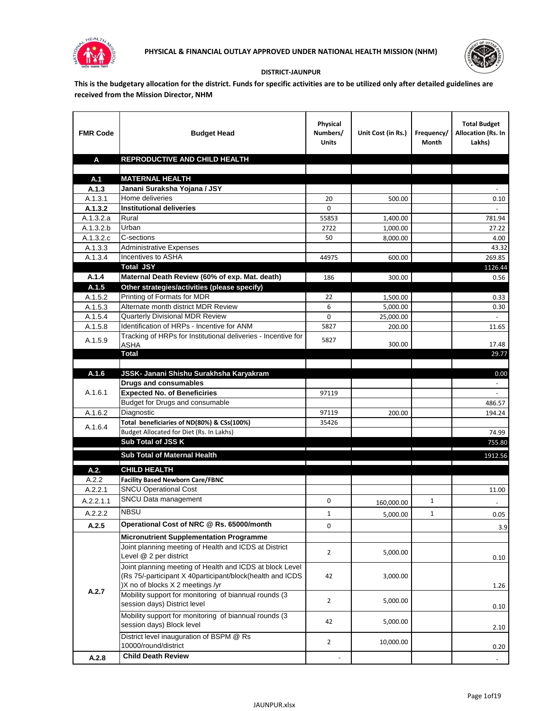



## **DISTRICT-JAUNPUR**

**This is the budgetary allocation for the district. Funds for specific activities are to be utilized only after detailed guidelines are received from the Mission Director, NHM**

| <b>FMR Code</b>    | <b>Budget Head</b>                                                                                                                                        | Physical<br>Numbers/<br><b>Units</b> | Unit Cost (in Rs.) | Frequency/<br>Month | <b>Total Budget</b><br>Allocation (Rs. In<br>Lakhs) |
|--------------------|-----------------------------------------------------------------------------------------------------------------------------------------------------------|--------------------------------------|--------------------|---------------------|-----------------------------------------------------|
| A                  | REPRODUCTIVE AND CHILD HEALTH                                                                                                                             |                                      |                    |                     |                                                     |
|                    |                                                                                                                                                           |                                      |                    |                     |                                                     |
| A.1                | <b>MATERNAL HEALTH</b>                                                                                                                                    |                                      |                    |                     |                                                     |
| A.1.3              | Janani Suraksha Yojana / JSY                                                                                                                              |                                      |                    |                     |                                                     |
| A.1.3.1<br>A.1.3.2 | Home deliveries<br><b>Institutional deliveries</b>                                                                                                        | 20<br>0                              | 500.00             |                     | 0.10                                                |
| A.1.3.2.a          | Rural                                                                                                                                                     | 55853                                | 1,400.00           |                     | 781.94                                              |
| A.1.3.2.b          | Urban                                                                                                                                                     | 2722                                 | 1,000.00           |                     | 27.22                                               |
| A.1.3.2.c          | C-sections                                                                                                                                                | 50                                   | 8,000.00           |                     | 4.00                                                |
| A.1.3.3            | <b>Administrative Expenses</b>                                                                                                                            |                                      |                    |                     | 43.32                                               |
| A.1.3.4            | Incentives to ASHA                                                                                                                                        | 44975                                | 600.00             |                     | 269.85                                              |
|                    | <b>Total JSY</b>                                                                                                                                          |                                      |                    |                     | 1126.44                                             |
| A.1.4              | Maternal Death Review (60% of exp. Mat. death)                                                                                                            | 186                                  | 300.00             |                     | 0.56                                                |
| A.1.5              | Other strategies/activities (please specify)                                                                                                              |                                      |                    |                     |                                                     |
| A.1.5.2            | Printing of Formats for MDR                                                                                                                               | 22                                   | 1.500.00           |                     | 0.33                                                |
| A.1.5.3            | Alternate month district MDR Review                                                                                                                       | 6                                    | 5,000.00           |                     | 0.30                                                |
| A.1.5.4            | <b>Quarterly Divisional MDR Review</b>                                                                                                                    | 0                                    | 25,000.00          |                     |                                                     |
| A.1.5.8            | Identification of HRPs - Incentive for ANM                                                                                                                | 5827                                 | 200.00             |                     | 11.65                                               |
| A.1.5.9            | Tracking of HRPs for Institutional deliveries - Incentive for<br><b>ASHA</b>                                                                              | 5827                                 | 300.00             |                     | 17.48                                               |
|                    | <b>Total</b>                                                                                                                                              |                                      |                    |                     | 29.77                                               |
|                    |                                                                                                                                                           |                                      |                    |                     |                                                     |
| A.1.6              | JSSK- Janani Shishu Surakhsha Karyakram<br><b>Drugs and consumables</b>                                                                                   |                                      |                    |                     | 0.00                                                |
| A.1.6.1            | <b>Expected No. of Beneficiries</b>                                                                                                                       | 97119                                |                    |                     |                                                     |
|                    | Budget for Drugs and consumable                                                                                                                           |                                      |                    |                     | 486.57                                              |
| A.1.6.2            | Diagnostic                                                                                                                                                | 97119                                | 200.00             |                     | 194.24                                              |
|                    | Total beneficiaries of ND(80%) & CSs(100%)                                                                                                                | 35426                                |                    |                     |                                                     |
| A.1.6.4            | Budget Allocated for Diet (Rs. In Lakhs)                                                                                                                  |                                      |                    |                     | 74.99                                               |
|                    | Sub Total of JSS K                                                                                                                                        |                                      |                    |                     | 755.80                                              |
|                    | Sub Total of Maternal Health                                                                                                                              |                                      |                    |                     | 1912.56                                             |
| A.2.               | <b>CHILD HEALTH</b>                                                                                                                                       |                                      |                    |                     |                                                     |
| A.2.2              | <b>Facility Based Newborn Care/FBNC</b>                                                                                                                   |                                      |                    |                     |                                                     |
| A.2.2.1            | <b>SNCU Operational Cost</b>                                                                                                                              |                                      |                    |                     | 11.00                                               |
| A.2.2.1.1          | SNCU Data management                                                                                                                                      | 0                                    |                    | $\mathbf{1}$        |                                                     |
|                    | <b>NBSU</b>                                                                                                                                               |                                      | 160,000.00         |                     |                                                     |
| A.2.2.2            |                                                                                                                                                           | 1                                    | 5,000.00           | 1                   | 0.05                                                |
| A.2.5              | Operational Cost of NRC @ Rs. 65000/month                                                                                                                 | 0                                    |                    |                     | 3.9                                                 |
|                    | <b>Micronutrient Supplementation Programme</b>                                                                                                            |                                      |                    |                     |                                                     |
|                    | Joint planning meeting of Health and ICDS at District<br>Level @ 2 per district                                                                           | $\overline{2}$                       | 5,000.00           |                     | 0.10                                                |
|                    | Joint planning meeting of Health and ICDS at block Level<br>(Rs 75/-participant X 40participant/block(health and ICDS<br>)X no of blocks X 2 meetings /yr | 42                                   | 3,000.00           |                     | 1.26                                                |
| A.2.7              | Mobility support for monitoring of biannual rounds (3<br>session days) District level                                                                     | $\overline{2}$                       | 5,000.00           |                     | 0.10                                                |
|                    | Mobility support for monitoring of biannual rounds (3<br>session days) Block level                                                                        | 42                                   | 5,000.00           |                     | 2.10                                                |
|                    | District level inauguration of BSPM @ Rs<br>10000/round/district                                                                                          | $\overline{2}$                       | 10,000.00          |                     | 0.20                                                |
| A.2.8              | <b>Child Death Review</b>                                                                                                                                 |                                      |                    |                     | $\overline{\phantom{a}}$                            |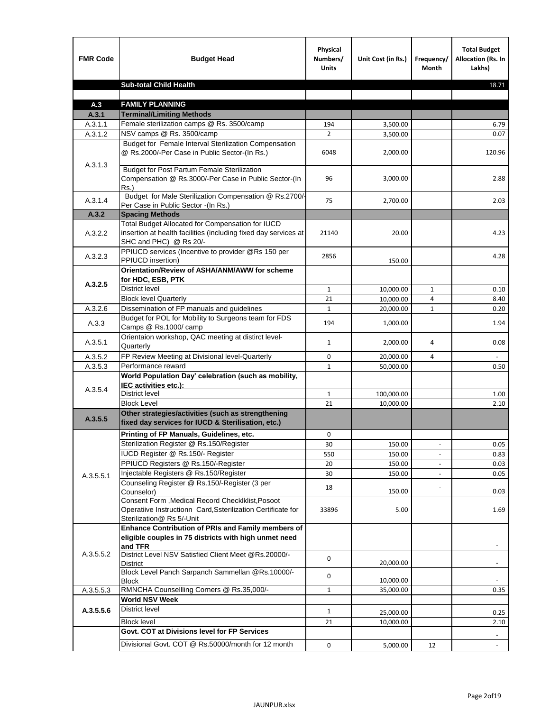| <b>FMR Code</b> | <b>Budget Head</b>                                                                                                                             | Physical<br>Numbers/<br><b>Units</b> | Unit Cost (in Rs.) | Frequency/<br><b>Month</b>   | <b>Total Budget</b><br>Allocation (Rs. In<br>Lakhs) |
|-----------------|------------------------------------------------------------------------------------------------------------------------------------------------|--------------------------------------|--------------------|------------------------------|-----------------------------------------------------|
|                 | <b>Sub-total Child Health</b>                                                                                                                  |                                      |                    |                              | 18.71                                               |
|                 |                                                                                                                                                |                                      |                    |                              |                                                     |
| A.3             | <b>FAMILY PLANNING</b>                                                                                                                         |                                      |                    |                              |                                                     |
| A.3.1           | <b>Terminal/Limiting Methods</b>                                                                                                               |                                      |                    |                              |                                                     |
| A.3.1.1         | Female sterilization camps @ Rs. 3500/camp                                                                                                     | 194                                  | 3,500.00           |                              | 6.79                                                |
| A.3.1.2         | NSV camps @ Rs. 3500/camp<br>Budget for Female Interval Sterilization Compensation                                                             | $\overline{2}$                       | 3,500.00           |                              | 0.07                                                |
| A.3.1.3         | @ Rs.2000/-Per Case in Public Sector-(In Rs.)                                                                                                  | 6048                                 | 2,000.00           |                              | 120.96                                              |
|                 | <b>Budget for Post Partum Female Sterilization</b><br>Compensation @ Rs.3000/-Per Case in Public Sector-(In<br>$Rs.$ )                         | 96                                   | 3,000.00           |                              | 2.88                                                |
| A.3.1.4         | Budget for Male Sterilization Compensation @ Rs.2700/-<br>Per Case in Public Sector -(In Rs.)                                                  | 75                                   | 2,700.00           |                              | 2.03                                                |
| A.3.2           | <b>Spacing Methods</b>                                                                                                                         |                                      |                    |                              |                                                     |
| A.3.2.2         | Total Budget Allocated for Compensation for IUCD<br>insertion at health facilities (including fixed day services at<br>SHC and PHC) @ Rs 20/-  | 21140                                | 20.00              |                              | 4.23                                                |
| A.3.2.3         | PPIUCD services (Incentive to provider @Rs 150 per<br>PPIUCD insertion)                                                                        | 2856                                 | 150.00             |                              | 4.28                                                |
| A.3.2.5         | Orientation/Review of ASHA/ANM/AWW for scheme<br>for HDC, ESB, PTK                                                                             |                                      |                    |                              |                                                     |
|                 | <b>District level</b>                                                                                                                          | $\mathbf{1}$                         | 10,000.00          | $\mathbf{1}$                 | 0.10                                                |
|                 | <b>Block level Quarterly</b>                                                                                                                   | 21                                   | 10,000.00          | 4                            | 8.40                                                |
| A.3.2.6         | Dissemination of FP manuals and guidelines                                                                                                     | $\mathbf{1}$                         | 20,000.00          | $\mathbf{1}$                 | 0.20                                                |
| A.3.3           | Budget for POL for Mobility to Surgeons team for FDS<br>Camps @ Rs.1000/ camp                                                                  | 194                                  | 1,000.00           |                              | 1.94                                                |
| A.3.5.1         | Orientaion workshop, QAC meeting at distirct level-<br>Quarterly                                                                               | $\mathbf{1}$                         | 2,000.00           | 4                            | 0.08                                                |
| A.3.5.2         | FP Review Meeting at Divisional level-Quarterly                                                                                                | 0                                    | 20,000.00          | 4                            |                                                     |
| A.3.5.3         | Performance reward                                                                                                                             | $\mathbf{1}$                         | 50,000.00          |                              | 0.50                                                |
| A.3.5.4         | World Population Day' celebration (such as mobility,<br>IEC activities etc.):                                                                  |                                      |                    |                              |                                                     |
|                 | District level                                                                                                                                 | $\mathbf{1}$                         | 100,000.00         |                              | 1.00                                                |
|                 | <b>Block Level</b>                                                                                                                             | 21                                   | 10,000.00          |                              | 2.10                                                |
| A.3.5.5         | Other strategies/activities (such as strengthening<br>fixed day services for IUCD & Sterilisation, etc.)                                       |                                      |                    |                              |                                                     |
|                 | Printing of FP Manuals, Guidelines, etc.                                                                                                       | 0                                    |                    |                              |                                                     |
|                 | Sterilization Register @ Rs.150/Register                                                                                                       | 30                                   | 150.00             | $\qquad \qquad \blacksquare$ | 0.05                                                |
|                 | IUCD Register @ Rs.150/- Register                                                                                                              | 550                                  | 150.00             |                              | 0.83                                                |
|                 | PPIUCD Registers @ Rs.150/-Register                                                                                                            | 20                                   | 150.00             |                              | 0.03                                                |
| A.3.5.5.1       | Injectable Registers @ Rs.150/Register                                                                                                         | 30                                   | 150.00             |                              | 0.05                                                |
|                 | Counseling Register @ Rs.150/-Register (3 per<br>Counselor)                                                                                    | 18                                   | 150.00             |                              | 0.03                                                |
|                 | Consent Form , Medical Record CheckIklist, Posoot<br>Operatiive Instructionn Card, Ssterilization Certificate for<br>Sterilization@ Rs 5/-Unit | 33896                                | 5.00               |                              | 1.69                                                |
|                 | Enhance Contribution of PRIs and Family members of<br>eligible couples in 75 districts with high unmet need<br>and TFR                         |                                      |                    |                              |                                                     |
| A.3.5.5.2       | District Level NSV Satisfied Client Meet @Rs.20000/-<br>District                                                                               | 0                                    | 20,000.00          |                              |                                                     |
|                 | Block Level Panch Sarpanch Sammellan @Rs.10000/-<br><b>Block</b>                                                                               | 0                                    | 10,000.00          |                              |                                                     |
| A.3.5.5.3       | RMNCHA Counsellling Corners @ Rs.35,000/-                                                                                                      | $\mathbf{1}$                         | 35,000.00          |                              | 0.35                                                |
|                 | <b>World NSV Week</b>                                                                                                                          |                                      |                    |                              |                                                     |
| A.3.5.5.6       | <b>District level</b>                                                                                                                          | $\mathbf{1}$                         | 25,000.00          |                              | 0.25                                                |
|                 | <b>Block level</b>                                                                                                                             | 21                                   | 10,000.00          |                              | 2.10                                                |
|                 | Govt. COT at Divisions level for FP Services                                                                                                   |                                      |                    |                              |                                                     |
|                 | Divisional Govt. COT @ Rs.50000/month for 12 month                                                                                             | 0                                    | 5,000.00           | 12                           | $\omega$                                            |
|                 |                                                                                                                                                |                                      |                    |                              |                                                     |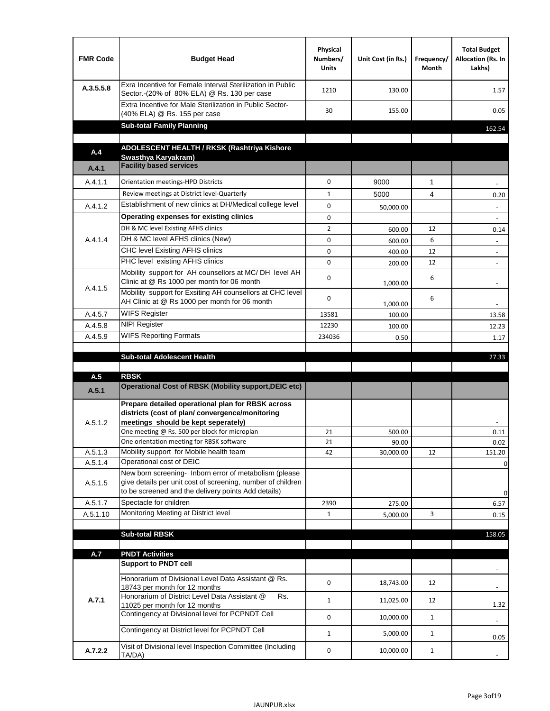| <b>FMR Code</b> | <b>Budget Head</b>                                                                                                                                                                          | Physical<br>Numbers/<br><b>Units</b> | Unit Cost (in Rs.) | Frequency/<br>Month | <b>Total Budget</b><br>Allocation (Rs. In<br>Lakhs) |
|-----------------|---------------------------------------------------------------------------------------------------------------------------------------------------------------------------------------------|--------------------------------------|--------------------|---------------------|-----------------------------------------------------|
| A.3.5.5.8       | Exra Incentive for Female Interval Sterilization in Public<br>Sector.-(20% of 80% ELA) @ Rs. 130 per case                                                                                   | 1210                                 | 130.00             |                     | 1.57                                                |
|                 | Extra Incentive for Male Sterilization in Public Sector-<br>(40% ELA) @ Rs. 155 per case                                                                                                    | 30                                   | 155.00             |                     | 0.05                                                |
|                 | <b>Sub-total Family Planning</b>                                                                                                                                                            |                                      |                    |                     | 162.54                                              |
|                 | ADOLESCENT HEALTH / RKSK (Rashtriya Kishore                                                                                                                                                 |                                      |                    |                     |                                                     |
| A.4             | Swasthya Karyakram)                                                                                                                                                                         |                                      |                    |                     |                                                     |
| A.4.1           | <b>Facility based services</b>                                                                                                                                                              |                                      |                    |                     |                                                     |
| A.4.1.1         | Orientation meetings-HPD Districts                                                                                                                                                          | $\Omega$                             | 9000               | $\mathbf{1}$        |                                                     |
|                 | Review meetings at District level-Quarterly                                                                                                                                                 | $\mathbf{1}$                         | 5000               | 4                   | 0.20                                                |
| A.4.1.2         | Establishment of new clinics at DH/Medical college level                                                                                                                                    | $\Omega$                             | 50,000.00          |                     |                                                     |
|                 | Operating expenses for existing clinics                                                                                                                                                     | 0                                    |                    |                     |                                                     |
|                 | DH & MC level Existing AFHS clinics                                                                                                                                                         | $\overline{2}$                       | 600.00             | 12                  | 0.14                                                |
| A.4.1.4         | DH & MC level AFHS clinics (New)                                                                                                                                                            | 0                                    | 600.00             | 6                   |                                                     |
|                 | CHC level Existing AFHS clinics                                                                                                                                                             | 0                                    | 400.00             | 12                  | $\overline{\phantom{a}}$                            |
|                 | PHC level existing AFHS clinics                                                                                                                                                             | $\Omega$                             | 200.00             | 12                  | $\blacksquare$                                      |
| A.4.1.5         | Mobility support for AH counsellors at MC/DH level AH<br>Clinic at @ Rs 1000 per month for 06 month                                                                                         | 0                                    | 1,000.00           | 6                   |                                                     |
|                 | Mobility support for Exsiting AH counsellors at CHC level<br>AH Clinic at @ Rs 1000 per month for 06 month                                                                                  | 0                                    | 1,000.00           | 6                   |                                                     |
| A.4.5.7         | <b>WIFS Register</b>                                                                                                                                                                        | 13581                                | 100.00             |                     | 13.58                                               |
| A.4.5.8         | <b>NIPI Register</b>                                                                                                                                                                        | 12230                                | 100.00             |                     | 12.23                                               |
| A.4.5.9         | <b>WIFS Reporting Formats</b>                                                                                                                                                               | 234036                               | 0.50               |                     | 1.17                                                |
|                 | <b>Sub-total Adolescent Health</b>                                                                                                                                                          |                                      |                    |                     | 27.33                                               |
| A.5             | <b>RBSK</b>                                                                                                                                                                                 |                                      |                    |                     |                                                     |
| A.5.1           | <b>Operational Cost of RBSK (Mobility support, DEIC etc)</b>                                                                                                                                |                                      |                    |                     |                                                     |
| A.5.1.2         | Prepare detailed operational plan for RBSK across<br>districts (cost of plan/convergence/monitoring<br>meetings should be kept seperately)<br>One meeting @ Rs. 500 per block for microplan | 21                                   | 500.00             |                     | 0.11                                                |
|                 | One orientation meeting for RBSK software                                                                                                                                                   | 21                                   | 90.00              |                     | 0.02                                                |
| A.5.1.3         | Mobility support for Mobile health team                                                                                                                                                     | 42                                   | 30,000.00          | 12                  | 151.20                                              |
| A.5.1.4         | Operational cost of DEIC                                                                                                                                                                    |                                      |                    |                     | 0                                                   |
| A.5.1.5         | New born screening- Inborn error of metabolism (please<br>give details per unit cost of screening, number of children<br>to be screened and the delivery points Add details)                |                                      |                    |                     | 0                                                   |
| A.5.1.7         | Spectacle for children                                                                                                                                                                      | 2390                                 | 275.00             |                     | 6.57                                                |
| A.5.1.10        | Monitoring Meeting at District level                                                                                                                                                        | $\mathbf{1}$                         | 5,000.00           | 3                   | 0.15                                                |
|                 |                                                                                                                                                                                             |                                      |                    |                     |                                                     |
|                 | <b>Sub-total RBSK</b>                                                                                                                                                                       |                                      |                    |                     | 158.05                                              |
| A.7             | <b>PNDT Activities</b>                                                                                                                                                                      |                                      |                    |                     |                                                     |
|                 | <b>Support to PNDT cell</b>                                                                                                                                                                 |                                      |                    |                     |                                                     |
|                 | Honorarium of Divisional Level Data Assistant @ Rs.<br>18743 per month for 12 months                                                                                                        | 0                                    | 18,743.00          | 12                  |                                                     |
| A.7.1           | Honorarium of District Level Data Assistant @<br>Rs.                                                                                                                                        | $\mathbf{1}$                         | 11,025.00          | 12                  |                                                     |
|                 | 11025 per month for 12 months<br>Contingency at Divisional level for PCPNDT Cell                                                                                                            | 0                                    | 10,000.00          | $\mathbf{1}$        | 1.32<br>$\overline{\phantom{a}}$                    |
|                 | Contingency at District level for PCPNDT Cell                                                                                                                                               | $\mathbf{1}$                         | 5,000.00           | $\mathbf{1}$        | 0.05                                                |
| A.7.2.2         | Visit of Divisional level Inspection Committee (Including<br>TA/DA)                                                                                                                         | 0                                    | 10,000.00          | $\mathbf{1}$        |                                                     |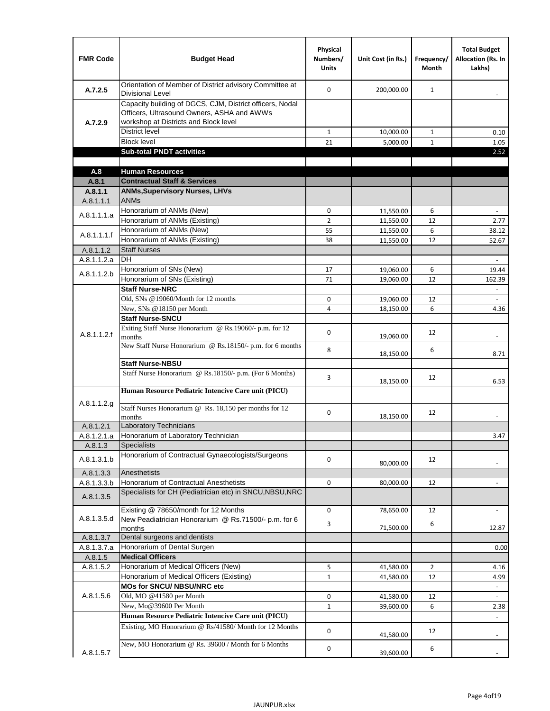| <b>FMR Code</b>      | <b>Budget Head</b>                                                                                                                              | Physical<br>Numbers/<br><b>Units</b> | Unit Cost (in Rs.)     | Frequency/<br><b>Month</b> | <b>Total Budget</b><br><b>Allocation (Rs. In</b><br>Lakhs) |
|----------------------|-------------------------------------------------------------------------------------------------------------------------------------------------|--------------------------------------|------------------------|----------------------------|------------------------------------------------------------|
| A.7.2.5              | Orientation of Member of District advisory Committee at<br><b>Divisional Level</b>                                                              | $\Omega$                             | 200,000.00             | $\mathbf{1}$               | $\overline{\phantom{m}}$                                   |
| A.7.2.9              | Capacity building of DGCS, CJM, District officers, Nodal<br>Officers, Ultrasound Owners, ASHA and AWWs<br>workshop at Districts and Block level |                                      |                        |                            |                                                            |
|                      | <b>District level</b>                                                                                                                           | $\mathbf{1}$                         | 10,000.00              | $\mathbf{1}$               | 0.10                                                       |
|                      | <b>Block level</b>                                                                                                                              | 21                                   | 5,000.00               | $\mathbf{1}$               | 1.05                                                       |
|                      | <b>Sub-total PNDT activities</b>                                                                                                                |                                      |                        |                            | 2.52                                                       |
|                      |                                                                                                                                                 |                                      |                        |                            |                                                            |
| A.8                  | <b>Human Resources</b>                                                                                                                          |                                      |                        |                            |                                                            |
| A.8.1                | <b>Contractual Staff &amp; Services</b>                                                                                                         |                                      |                        |                            |                                                            |
| A.8.1.1<br>A.8.1.1.1 | <b>ANMs, Supervisory Nurses, LHVs</b><br><b>ANMs</b>                                                                                            |                                      |                        |                            |                                                            |
|                      | Honorarium of ANMs (New)                                                                                                                        | 0                                    |                        | 6                          | $\blacksquare$                                             |
| A.8.1.1.1.a          | Honorarium of ANMs (Existing)                                                                                                                   | $\overline{2}$                       | 11,550.00<br>11,550.00 | 12                         | 2.77                                                       |
|                      | Honorarium of ANMs (New)                                                                                                                        | 55                                   | 11,550.00              | 6                          | 38.12                                                      |
| A.8.1.1.1.f          | Honorarium of ANMs (Existing)                                                                                                                   | 38                                   | 11,550.00              | 12                         | 52.67                                                      |
| A.8.1.1.2            | <b>Staff Nurses</b>                                                                                                                             |                                      |                        |                            |                                                            |
| A.8.1.1.2.a          | <b>DH</b>                                                                                                                                       |                                      |                        |                            | $\Box$                                                     |
|                      | Honorarium of SNs (New)                                                                                                                         | 17                                   | 19,060.00              | 6                          | 19.44                                                      |
| A.8.1.1.2.b          | Honorarium of SNs (Existing)                                                                                                                    | 71                                   | 19.060.00              | 12                         | 162.39                                                     |
|                      | <b>Staff Nurse-NRC</b>                                                                                                                          |                                      |                        |                            | $\overline{\phantom{a}}$                                   |
|                      | Old, SNs @19060/Month for 12 months                                                                                                             | 0                                    | 19,060.00              | 12                         | $\overline{\phantom{a}}$                                   |
|                      | New, SNs @18150 per Month                                                                                                                       | 4                                    | 18,150.00              | 6                          | 4.36                                                       |
|                      | <b>Staff Nurse-SNCU</b>                                                                                                                         |                                      |                        |                            |                                                            |
| A.8.1.1.2.f          | Exiting Staff Nurse Honorarium @ Rs.19060/- p.m. for 12<br>months                                                                               | $\Omega$                             | 19,060.00              | 12                         | -                                                          |
|                      | New Staff Nurse Honorarium @ Rs.18150/- p.m. for 6 months                                                                                       | 8                                    | 18,150.00              | 6                          | 8.71                                                       |
|                      | <b>Staff Nurse-NBSU</b>                                                                                                                         |                                      |                        |                            |                                                            |
|                      | Staff Nurse Honorarium @ Rs.18150/- p.m. (For 6 Months)                                                                                         | 3                                    | 18,150.00              | 12                         | 6.53                                                       |
|                      | Human Resource Pediatric Intencive Care unit (PICU)                                                                                             |                                      |                        |                            |                                                            |
| A.8.1.1.2.g          | Staff Nurses Honorarium @ Rs. 18,150 per months for 12<br>months                                                                                | 0                                    | 18,150.00              | 12                         |                                                            |
| A.8.1.2.1            | Laboratory Technicians                                                                                                                          |                                      |                        |                            |                                                            |
| A.8.1.2.1.a          | Honorarium of Laboratory Technician                                                                                                             |                                      |                        |                            | 3.47                                                       |
| A.8.1.3              | <b>Specialists</b>                                                                                                                              |                                      |                        |                            |                                                            |
| A.8.1.3.1.b          | Honorarium of Contractual Gynaecologists/Surgeons                                                                                               | $\mathbf 0$                          | 80,000.00              | 12                         |                                                            |
| A.8.1.3.3            | Anesthetists                                                                                                                                    |                                      |                        |                            |                                                            |
| A.8.1.3.3.b          | Honorarium of Contractual Anesthetists                                                                                                          | 0                                    | 80,000.00              | 12                         |                                                            |
| A.8.1.3.5            | Specialists for CH (Pediatrician etc) in SNCU, NBSU, NRC                                                                                        |                                      |                        |                            |                                                            |
|                      | Existing @ 78650/month for 12 Months                                                                                                            | 0                                    | 78,650.00              | 12                         | $\blacksquare$                                             |
| A.8.1.3.5.d          | New Peadiatrician Honorarium @ Rs.71500/- p.m. for 6<br>months                                                                                  | 3                                    | 71,500.00              | 6                          | 12.87                                                      |
| A.8.1.3.7            | Dental surgeons and dentists                                                                                                                    |                                      |                        |                            |                                                            |
| A.8.1.3.7.a          | Honorarium of Dental Surgen                                                                                                                     |                                      |                        |                            | 0.00                                                       |
| A.8.1.5              | <b>Medical Officers</b>                                                                                                                         |                                      |                        |                            |                                                            |
| A.8.1.5.2            | Honorarium of Medical Officers (New)                                                                                                            | 5                                    | 41,580.00              | $\overline{2}$             | 4.16                                                       |
|                      | Honorarium of Medical Officers (Existing)                                                                                                       | $\mathbf{1}$                         | 41,580.00              | 12                         | 4.99                                                       |
|                      | MOs for SNCU/ NBSU/NRC etc                                                                                                                      |                                      |                        |                            |                                                            |
| A.8.1.5.6            | Old, MO @41580 per Month<br>New, Mo@39600 Per Month                                                                                             | 0                                    | 41,580.00              | 12                         | $\omega$                                                   |
|                      | Human Resource Pediatric Intencive Care unit (PICU)                                                                                             | $\mathbf{1}$                         | 39,600.00              | 6                          | 2.38                                                       |
|                      | Existing, MO Honorarium @ Rs/41580/ Month for 12 Months                                                                                         | $\mathbf 0$                          |                        | 12                         |                                                            |
|                      | New, MO Honorarium @ Rs. 39600 / Month for 6 Months                                                                                             |                                      | 41,580.00              |                            |                                                            |
| A.8.1.5.7            |                                                                                                                                                 | 0                                    | 39,600.00              | 6                          |                                                            |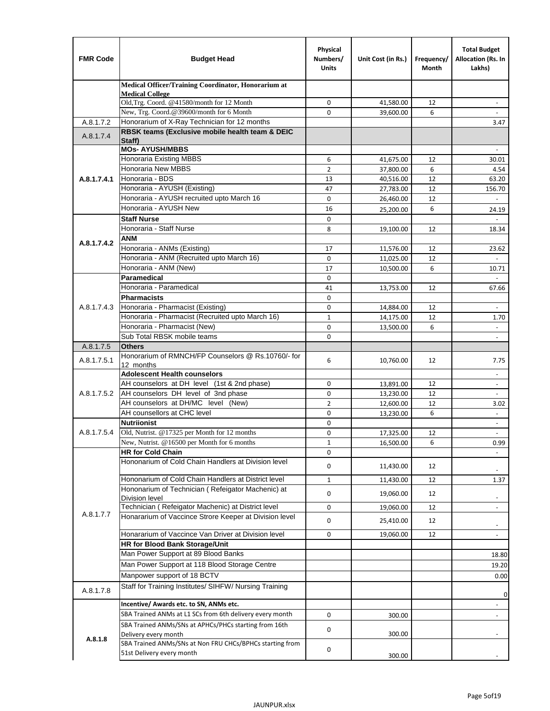| <b>FMR Code</b> | <b>Budget Head</b>                                                                                       | Physical<br>Numbers/<br><b>Units</b> | Unit Cost (in Rs.) | Frequency/<br>Month | <b>Total Budget</b><br>Allocation (Rs. In<br>Lakhs)  |
|-----------------|----------------------------------------------------------------------------------------------------------|--------------------------------------|--------------------|---------------------|------------------------------------------------------|
|                 | Medical Officer/Training Coordinator, Honorarium at                                                      |                                      |                    |                     |                                                      |
|                 | <b>Medical College</b><br>Old, Trg. Coord. @41580/month for 12 Month                                     | $\mathbf 0$                          | 41,580.00          | 12                  | $\overline{\phantom{a}}$                             |
|                 | New, Trg. Coord.@39600/month for 6 Month                                                                 | $\Omega$                             | 39,600.00          | 6                   |                                                      |
| A.8.1.7.2       | Honorarium of X-Ray Technician for 12 months                                                             |                                      |                    |                     | 3.47                                                 |
| A.8.1.7.4       | RBSK teams (Exclusive mobile health team & DEIC                                                          |                                      |                    |                     |                                                      |
|                 | Staff)<br><b>MOs- AYUSH/MBBS</b>                                                                         |                                      |                    |                     |                                                      |
|                 | <b>Honoraria Existing MBBS</b>                                                                           | 6                                    | 41,675.00          | 12                  | 30.01                                                |
|                 | Honoraria New MBBS                                                                                       | 2                                    | 37,800.00          | 6                   | 4.54                                                 |
| A.8.1.7.4.1     | Honoraria - BDS                                                                                          | 13                                   | 40,516.00          | 12                  | 63.20                                                |
|                 | Honoraria - AYUSH (Existing)                                                                             | 47                                   | 27,783.00          | 12                  | 156.70                                               |
|                 | Honoraria - AYUSH recruited upto March 16                                                                | $\mathbf 0$                          | 26,460.00          | 12                  |                                                      |
|                 | Honoraria - AYUSH New                                                                                    | 16                                   | 25,200.00          | 6                   | 24.19                                                |
|                 | <b>Staff Nurse</b>                                                                                       | $\Omega$                             |                    |                     |                                                      |
|                 | Honoraria - Staff Nurse                                                                                  | 8                                    | 19,100.00          | 12                  | 18.34                                                |
| A.8.1.7.4.2     | <b>ANM</b>                                                                                               |                                      |                    |                     |                                                      |
|                 | Honoraria - ANMs (Existing)                                                                              | 17                                   | 11,576.00          | 12                  | 23.62                                                |
|                 | Honoraria - ANM (Recruited upto March 16)                                                                | 0                                    | 11,025.00          | 12                  | $\overline{a}$                                       |
|                 | Honoraria - ANM (New)<br>Paramedical                                                                     | 17<br>$\mathbf 0$                    | 10,500.00          | 6                   | 10.71<br>$\omega$                                    |
|                 | Honoraria - Paramedical                                                                                  | 41                                   | 13,753.00          | 12                  | 67.66                                                |
|                 | <b>Pharmacists</b>                                                                                       | 0                                    |                    |                     |                                                      |
| A.8.1.7.4.3     | Honoraria - Pharmacist (Existing)                                                                        | $\mathbf 0$                          | 14,884.00          | 12                  | $\overline{\phantom{a}}$                             |
|                 | Honoraria - Pharmacist (Recruited upto March 16)                                                         | $\mathbf{1}$                         | 14,175.00          | 12                  | 1.70                                                 |
|                 | Honoraria - Pharmacist (New)                                                                             | 0                                    | 13,500.00          | 6                   | ÷,                                                   |
|                 | Sub Total RBSK mobile teams                                                                              | $\Omega$                             |                    |                     | $\overline{\phantom{a}}$                             |
| A.8.1.7.5       | <b>Others</b>                                                                                            |                                      |                    |                     |                                                      |
| A.8.1.7.5.1     | Honorarium of RMNCH/FP Counselors @ Rs.10760/- for                                                       | 6                                    | 10,760.00          | 12                  | 7.75                                                 |
|                 | 12 months                                                                                                |                                      |                    |                     |                                                      |
|                 | <b>Adolescent Health counselors</b>                                                                      |                                      |                    |                     | $\sim$                                               |
|                 | AH counselors at DH level (1st & 2nd phase)                                                              | 0                                    | 13,891.00          | 12                  | $\overline{\phantom{a}}$                             |
| A.8.1.7.5.2     | AH counselors DH level of 3nd phase                                                                      | $\mathbf 0$                          | 13,230.00          | 12                  | $\overline{\phantom{a}}$                             |
|                 | AH counselors at DH/MC level (New)<br>AH counsellors at CHC level                                        | $\overline{2}$                       | 12,600.00          | 12                  | 3.02                                                 |
|                 | <b>Nutriionist</b>                                                                                       | 0<br>0                               | 13,230.00          | 6                   | ÷,                                                   |
| A.8.1.7.5.4     | Old, Nutrist. @17325 per Month for 12 months                                                             | 0                                    | 17,325.00          | 12                  | $\overline{\phantom{a}}$<br>$\overline{\phantom{a}}$ |
|                 | New, Nutrist. $@16500$ per Month for 6 months                                                            | 1                                    | 16,500.00          | 6                   | 0.99                                                 |
|                 | <b>HR for Cold Chain</b>                                                                                 | 0                                    |                    |                     |                                                      |
|                 | Hononarium of Cold Chain Handlers at Division level                                                      | 0                                    | 11,430.00          | 12                  |                                                      |
|                 |                                                                                                          |                                      |                    |                     |                                                      |
|                 | Hononarium of Cold Chain Handlers at District level<br>Hononarium of Technician (Refeigator Machenic) at | $\mathbf{1}$                         | 11,430.00          | 12                  | 1.37                                                 |
|                 | <b>Division level</b>                                                                                    | 0                                    | 19,060.00          | 12                  | $\overline{\phantom{a}}$                             |
|                 | Technician (Refeigator Machenic) at District level                                                       | 0                                    | 19,060.00          | 12                  | $\blacksquare$                                       |
| A.8.1.7.7       | Honararium of Vaccince Strore Keeper at Division level                                                   | 0                                    | 25,410.00          | 12                  |                                                      |
|                 | Honararium of Vaccince Van Driver at Division level                                                      | 0                                    | 19,060.00          | 12                  | $\overline{\phantom{a}}$<br>$\overline{\phantom{a}}$ |
|                 | HR for Blood Bank Storage/Unit                                                                           |                                      |                    |                     |                                                      |
|                 | Man Power Support at 89 Blood Banks                                                                      |                                      |                    |                     | 18.80                                                |
|                 | Man Power Support at 118 Blood Storage Centre                                                            |                                      |                    |                     | 19.20                                                |
|                 | Manpower support of 18 BCTV                                                                              |                                      |                    |                     | 0.00                                                 |
|                 | Staff for Training Institutes/ SIHFW/ Nursing Training                                                   |                                      |                    |                     |                                                      |
| A.8.1.7.8       |                                                                                                          |                                      |                    |                     | 0                                                    |
|                 | Incentive/ Awards etc. to SN, ANMs etc.                                                                  |                                      |                    |                     | $\overline{\phantom{a}}$                             |
|                 | SBA Trained ANMs at L1 SCs from 6th delivery every month                                                 | 0                                    | 300.00             |                     | $\blacksquare$                                       |
|                 | SBA Trained ANMs/SNs at APHCs/PHCs starting from 16th<br>Delivery every month                            | 0                                    | 300.00             |                     |                                                      |
| A.8.1.8         | SBA Trained ANMs/SNs at Non FRU CHCs/BPHCs starting from                                                 |                                      |                    |                     |                                                      |
|                 | 51st Delivery every month                                                                                | 0                                    | 300.00             |                     |                                                      |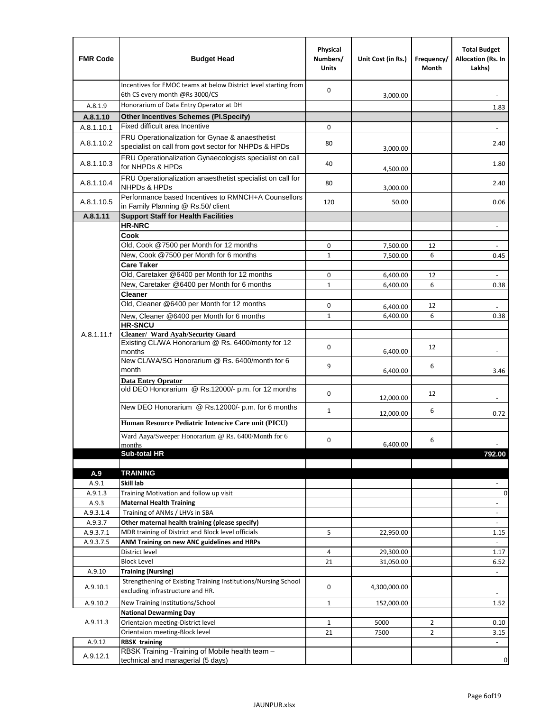| <b>FMR Code</b>    | <b>Budget Head</b>                                                                                      | Physical<br>Numbers/<br><b>Units</b> | Unit Cost (in Rs.) | Frequency/<br>Month | <b>Total Budget</b><br>Allocation (Rs. In<br>Lakhs) |
|--------------------|---------------------------------------------------------------------------------------------------------|--------------------------------------|--------------------|---------------------|-----------------------------------------------------|
|                    | Incentives for EMOC teams at below District level starting from<br>6th CS every month @Rs 3000/CS       | $\mathbf 0$                          | 3,000.00           |                     |                                                     |
| A.8.1.9            | Honorarium of Data Entry Operator at DH                                                                 |                                      |                    |                     | 1.83                                                |
| A.8.1.10           | <b>Other Incentives Schemes (PI.Specify)</b>                                                            |                                      |                    |                     |                                                     |
| A.8.1.10.1         | Fixed difficult area Incentive                                                                          | $\mathbf 0$                          |                    |                     |                                                     |
| A.8.1.10.2         | FRU Operationalization for Gynae & anaesthetist<br>specialist on call from govt sector for NHPDs & HPDs | 80                                   | 3,000.00           |                     | 2.40                                                |
| A.8.1.10.3         | FRU Operationalization Gynaecologists specialist on call<br>for NHPDs & HPDs                            | 40                                   | 4,500.00           |                     | 1.80                                                |
| A.8.1.10.4         | FRU Operationalization anaesthetist specialist on call for<br><b>NHPDs &amp; HPDs</b>                   | 80                                   | 3,000.00           |                     | 2.40                                                |
| A.8.1.10.5         | Performance based Incentives to RMNCH+A Counsellors<br>in Family Planning @ Rs.50/ client               | 120                                  | 50.00              |                     | 0.06                                                |
| A.8.1.11           | <b>Support Staff for Health Facilities</b>                                                              |                                      |                    |                     |                                                     |
|                    | <b>HR-NRC</b>                                                                                           |                                      |                    |                     | $\overline{\phantom{m}}$                            |
|                    | Cook                                                                                                    |                                      |                    |                     |                                                     |
|                    | Old, Cook @7500 per Month for 12 months                                                                 | 0                                    | 7,500.00           | 12                  | $\Box$                                              |
|                    | New, Cook @7500 per Month for 6 months                                                                  | $\mathbf{1}$                         | 7,500.00           | 6                   | 0.45                                                |
|                    | <b>Care Taker</b><br>Old, Caretaker @6400 per Month for 12 months                                       | $\mathbf 0$                          | 6,400.00           | 12                  | ä,                                                  |
|                    | New, Caretaker @6400 per Month for 6 months                                                             | $\mathbf{1}$                         | 6,400.00           | 6                   | 0.38                                                |
|                    | <b>Cleaner</b>                                                                                          |                                      |                    |                     |                                                     |
|                    | Old, Cleaner @6400 per Month for 12 months                                                              | 0                                    | 6,400.00           | 12                  |                                                     |
|                    | New, Cleaner @6400 per Month for 6 months                                                               | $\mathbf{1}$                         | 6,400.00           | 6                   | 0.38                                                |
|                    | <b>HR-SNCU</b>                                                                                          |                                      |                    |                     |                                                     |
| A.8.1.11.f         | Cleaner/ Ward Ayah/Security Guard                                                                       |                                      |                    |                     |                                                     |
|                    | Existing CL/WA Honorarium @ Rs. 6400/monty for 12<br>months                                             | $\mathbf 0$                          | 6,400.00           | 12                  |                                                     |
|                    | New CL/WA/SG Honorarium @ Rs. 6400/month for 6<br>month                                                 | 9                                    | 6,400.00           | 6                   | 3.46                                                |
|                    | <b>Data Entry Oprator</b><br>old DEO Honorarium @ Rs.12000/- p.m. for 12 months                         |                                      |                    |                     |                                                     |
|                    |                                                                                                         | $\mathbf 0$                          | 12,000.00          | 12                  |                                                     |
|                    | New DEO Honorarium @ Rs.12000/- p.m. for 6 months                                                       | $\mathbf{1}$                         | 12,000.00          | 6                   | 0.72                                                |
|                    | Human Resource Pediatric Intencive Care unit (PICU)                                                     |                                      |                    |                     |                                                     |
|                    | Ward Aaya/Sweeper Honorarium @ Rs. 6400/Month for 6                                                     |                                      |                    |                     |                                                     |
|                    | months                                                                                                  | 0                                    | 6,400.00           | 6                   |                                                     |
|                    | Sub-total HR                                                                                            |                                      |                    |                     | 792.00                                              |
|                    |                                                                                                         |                                      |                    |                     |                                                     |
| A.9<br>A.9.1       | <b>TRAINING</b><br>Skill lab                                                                            |                                      |                    |                     |                                                     |
| A.9.1.3            | Training Motivation and follow up visit                                                                 |                                      |                    |                     | 0                                                   |
| A.9.3              | <b>Maternal Health Training</b>                                                                         |                                      |                    |                     | $\blacksquare$                                      |
| A.9.3.1.4          | Training of ANMs / LHVs in SBA                                                                          |                                      |                    |                     | $\overline{\phantom{a}}$                            |
| A.9.3.7            | Other maternal health training (please specify)                                                         |                                      |                    |                     |                                                     |
| A.9.3.7.1          | MDR training of District and Block level officials                                                      | 5                                    | 22,950.00          |                     | 1.15                                                |
| A.9.3.7.5          | ANM Training on new ANC guidelines and HRPs                                                             |                                      |                    |                     |                                                     |
|                    | District level                                                                                          | 4                                    | 29,300.00          |                     | 1.17                                                |
|                    | <b>Block Level</b>                                                                                      | 21                                   | 31,050.00          |                     | 6.52                                                |
| A.9.10             | <b>Training (Nursing)</b><br>Strengthening of Existing Training Institutions/Nursing School             |                                      |                    |                     | $\blacksquare$                                      |
| A.9.10.1           | excluding infrastructure and HR.                                                                        | 0                                    | 4,300,000.00       |                     |                                                     |
| A.9.10.2           | New Training Institutions/School                                                                        | $\mathbf{1}$                         | 152,000.00         |                     | 1.52                                                |
|                    | <b>National Dewarming Day</b>                                                                           |                                      |                    |                     |                                                     |
| A.9.11.3           | Orientaion meeting-District level                                                                       | 1                                    | 5000               | $\overline{2}$      | 0.10                                                |
|                    | Orientaion meeting-Block level                                                                          | 21                                   | 7500               | $\overline{2}$      | 3.15                                                |
| A.9.12<br>A.9.12.1 | <b>RBSK training</b><br>RBSK Training -Training of Mobile health team -                                 |                                      |                    |                     |                                                     |
|                    | technical and managerial (5 days)                                                                       |                                      |                    |                     | 0                                                   |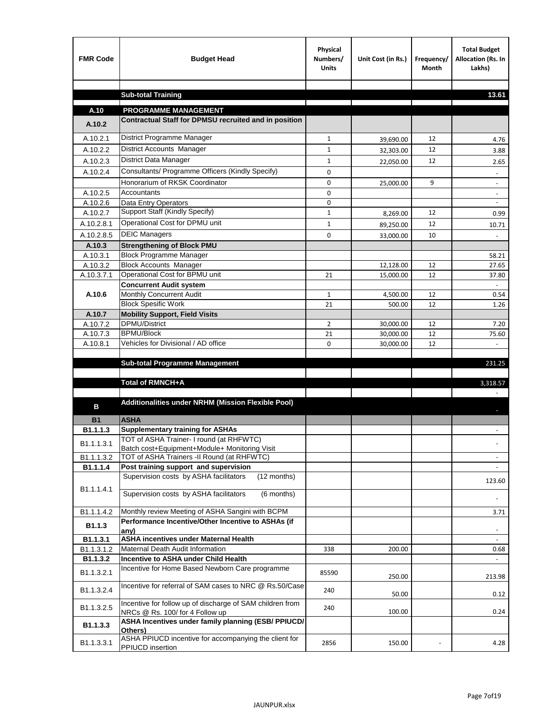| <b>FMR Code</b>    | <b>Budget Head</b>                                                                           | Physical<br>Numbers/<br><b>Units</b> | Unit Cost (in Rs.) | Frequency/<br><b>Month</b> | <b>Total Budget</b><br>Allocation (Rs. In<br>Lakhs) |
|--------------------|----------------------------------------------------------------------------------------------|--------------------------------------|--------------------|----------------------------|-----------------------------------------------------|
|                    | <b>Sub-total Training</b>                                                                    |                                      |                    |                            | 13.61                                               |
|                    |                                                                                              |                                      |                    |                            |                                                     |
| A.10               | <b>PROGRAMME MANAGEMENT</b>                                                                  |                                      |                    |                            |                                                     |
| A.10.2             | Contractual Staff for DPMSU recruited and in position                                        |                                      |                    |                            |                                                     |
| A.10.2.1           | District Programme Manager                                                                   | $\mathbf{1}$                         | 39,690.00          | 12                         | 4.76                                                |
| A.10.2.2           | District Accounts Manager                                                                    | 1                                    | 32,303.00          | 12                         | 3.88                                                |
| A.10.2.3           | District Data Manager                                                                        | $\mathbf{1}$                         | 22,050.00          | 12                         | 2.65                                                |
| A.10.2.4           | Consultants/ Programme Officers (Kindly Specify)                                             | $\mathbf 0$                          |                    |                            |                                                     |
|                    | Honorarium of RKSK Coordinator                                                               | 0                                    | 25,000.00          | 9                          | $\overline{\phantom{a}}$                            |
| A.10.2.5           | Accountants                                                                                  | 0                                    |                    |                            |                                                     |
| A.10.2.6           | Data Entry Operators                                                                         | 0                                    |                    |                            | $\overline{\phantom{a}}$                            |
| A.10.2.7           | Support Staff (Kindly Specify)                                                               | $\mathbf{1}$                         | 8,269.00           | 12                         | 0.99                                                |
| A.10.2.8.1         | Operational Cost for DPMU unit                                                               | $\mathbf{1}$                         | 89,250.00          | 12                         | 10.71                                               |
| A.10.2.8.5         | <b>DEIC Managers</b>                                                                         | $\mathbf 0$                          | 33,000.00          | 10                         |                                                     |
| A.10.3             | <b>Strengthening of Block PMU</b>                                                            |                                      |                    |                            |                                                     |
| A.10.3.1           | <b>Block Programme Manager</b>                                                               |                                      |                    |                            | 58.21                                               |
| A.10.3.2           | <b>Block Accounts Manager</b>                                                                |                                      | 12,128.00          | 12                         | 27.65                                               |
| A.10.3.7.1         | Operational Cost for BPMU unit<br><b>Concurrent Audit system</b>                             | 21                                   | 15,000.00          | 12                         | 37.80                                               |
| A.10.6             | Monthly Concurrent Audit                                                                     | $\mathbf{1}$                         | 4,500.00           | 12                         | 0.54                                                |
|                    | <b>Block Spesific Work</b>                                                                   | 21                                   | 500.00             | 12                         | 1.26                                                |
| A.10.7             | <b>Mobility Support, Field Visits</b>                                                        |                                      |                    |                            |                                                     |
| A.10.7.2           | DPMU/District                                                                                | 2                                    | 30,000.00          | 12                         | 7.20                                                |
| A.10.7.3           | <b>BPMU/Block</b>                                                                            | 21                                   | 30,000.00          | 12                         | 75.60                                               |
| A.10.8.1           | Vehicles for Divisional / AD office                                                          | 0                                    | 30,000.00          | 12                         | $\mathbf{r}$                                        |
|                    |                                                                                              |                                      |                    |                            |                                                     |
|                    | <b>Sub-total Programme Management</b>                                                        |                                      |                    |                            | 231.25                                              |
|                    | Total of RMNCH+A                                                                             |                                      |                    |                            | 3,318.57                                            |
|                    |                                                                                              |                                      |                    |                            |                                                     |
| в                  | Additionalities under NRHM (Mission Flexible Pool)                                           |                                      |                    |                            |                                                     |
|                    |                                                                                              |                                      |                    |                            |                                                     |
| <b>B1</b>          | <b>ASHA</b><br><b>Supplementary training for ASHAs</b>                                       |                                      |                    |                            |                                                     |
| B1.1.1.3           | TOT of ASHA Trainer- I round (at RHFWTC)                                                     |                                      |                    |                            |                                                     |
| B1.1.1.3.1         | Batch cost+Equipment+Module+ Monitoring Visit                                                |                                      |                    |                            |                                                     |
| B1.1.1.3.2         | TOT of ASHA Trainers -II Round (at RHFWTC)                                                   |                                      |                    |                            |                                                     |
| B1.1.1.4           | Post training support and supervision                                                        |                                      |                    |                            | $\sim$                                              |
|                    | Supervision costs by ASHA facilitators<br>(12 months)                                        |                                      |                    |                            | 123.60                                              |
| B1.1.1.4.1         | Supervision costs by ASHA facilitators<br>(6 months)                                         |                                      |                    |                            |                                                     |
|                    |                                                                                              |                                      |                    |                            |                                                     |
| B1.1.1.4.2         | Monthly review Meeting of ASHA Sangini with BCPM                                             |                                      |                    |                            | 3.71                                                |
| B <sub>1.1.3</sub> | Performance Incentive/Other Incentive to ASHAs (if                                           |                                      |                    |                            |                                                     |
| B1.1.3.1           | any)<br><b>ASHA incentives under Maternal Health</b>                                         |                                      |                    |                            |                                                     |
| B1.1.3.1.2         | Maternal Death Audit Information                                                             | 338                                  | 200.00             |                            | 0.68                                                |
| B1.1.3.2           | Incentive to ASHA under Child Health                                                         |                                      |                    |                            | $\omega$                                            |
| B1.1.3.2.1         | Incentive for Home Based Newborn Care programme                                              | 85590                                | 250.00             |                            | 213.98                                              |
| B1.1.3.2.4         | Incentive for referral of SAM cases to NRC @ Rs.50/Case                                      | 240                                  | 50.00              |                            | 0.12                                                |
| B1.1.3.2.5         | Incentive for follow up of discharge of SAM children from<br>NRCs @ Rs. 100/ for 4 Follow up | 240                                  | 100.00             |                            | 0.24                                                |
| B1.1.3.3           | ASHA Incentives under family planning (ESB/ PPIUCD/<br>Others)                               |                                      |                    |                            |                                                     |
| B1.1.3.3.1         | ASHA PPIUCD incentive for accompanying the client for<br>PPIUCD insertion                    | 2856                                 | 150.00             |                            | 4.28                                                |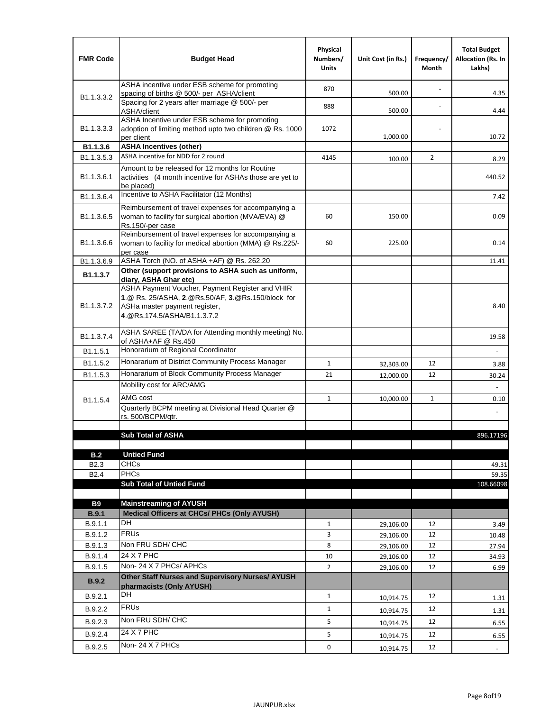| <b>FMR Code</b>            | <b>Budget Head</b>                                                                                                                                                                             | Physical<br>Numbers/<br><b>Units</b> | Unit Cost (in Rs.) | Frequency/<br>Month | <b>Total Budget</b><br><b>Allocation (Rs. In</b><br>Lakhs) |
|----------------------------|------------------------------------------------------------------------------------------------------------------------------------------------------------------------------------------------|--------------------------------------|--------------------|---------------------|------------------------------------------------------------|
|                            | ASHA incentive under ESB scheme for promoting<br>spacing of births @ 500/- per ASHA/client                                                                                                     | 870                                  | 500.00             |                     | 4.35                                                       |
| B <sub>1.1</sub> , 3, 3, 2 | Spacing for 2 years after marriage @ 500/- per<br>ASHA/client                                                                                                                                  | 888                                  | 500.00             |                     | 4.44                                                       |
| B1.1.3.3.3                 | ASHA Incentive under ESB scheme for promoting<br>adoption of limiting method upto two children @ Rs. 1000<br>per client                                                                        | 1072                                 | 1,000.00           |                     | 10.72                                                      |
| B1.1.3.6                   | <b>ASHA Incentives (other)</b>                                                                                                                                                                 |                                      |                    |                     |                                                            |
| B <sub>1.1</sub> , 3, 5, 3 | ASHA incentive for NDD for 2 round                                                                                                                                                             | 4145                                 | 100.00             | $\overline{2}$      | 8.29                                                       |
| B <sub>1.1</sub> .3.6.1    | Amount to be released for 12 months for Routine<br>activities (4 month incentive for ASHAs those are yet to<br>be placed)                                                                      |                                      |                    |                     | 440.52                                                     |
| B <sub>1.1</sub> .3.6.4    | Incentive to ASHA Facilitator (12 Months)                                                                                                                                                      |                                      |                    |                     | 7.42                                                       |
| B <sub>1.1</sub> .3.6.5    | Reimbursement of travel expenses for accompanying a<br>woman to facility for surgical abortion (MVA/EVA) @<br>Rs.150/-per case                                                                 | 60                                   | 150.00             |                     | 0.09                                                       |
| B <sub>1.1</sub> .3.6.6    | Reimbursement of travel expenses for accompanying a<br>woman to facility for medical abortion (MMA) @ Rs.225/-<br>per case                                                                     | 60                                   | 225.00             |                     | 0.14                                                       |
| B1.1.3.6.9                 | ASHA Torch (NO. of ASHA +AF) @ Rs. 262.20                                                                                                                                                      |                                      |                    |                     | 11.41                                                      |
| B1.1.3.7                   | Other (support provisions to ASHA such as uniform,                                                                                                                                             |                                      |                    |                     |                                                            |
| B <sub>1.1</sub> .3.7.2    | diary, ASHA Ghar etc)<br>ASHA Payment Voucher, Payment Register and VHIR<br>1.@ Rs. 25/ASHA, 2.@Rs.50/AF, 3.@Rs.150/block for<br>ASHa master payment register,<br>4. @Rs.174.5/ASHA/B1.1.3.7.2 |                                      |                    |                     | 8.40                                                       |
| B <sub>1.1</sub> , 3, 7, 4 | ASHA SAREE (TA/DA for Attending monthly meeting) No.<br>of ASHA+AF @ Rs.450                                                                                                                    |                                      |                    |                     | 19.58                                                      |
| B <sub>1.1</sub> .5.1      | Honorarium of Regional Coordinator                                                                                                                                                             |                                      |                    |                     |                                                            |
| B <sub>1.1.5.2</sub>       | Honararium of District Community Process Manager                                                                                                                                               | $\mathbf{1}$                         | 32,303.00          | 12                  | 3.88                                                       |
| B1.1.5.3                   | Honararium of Block Community Process Manager                                                                                                                                                  | 21                                   | 12,000.00          | 12                  | 30.24                                                      |
|                            | Mobility cost for ARC/AMG                                                                                                                                                                      |                                      |                    |                     |                                                            |
| B <sub>1.1.5.4</sub>       | AMG cost                                                                                                                                                                                       | $\mathbf{1}$                         | 10,000.00          | $\mathbf{1}$        | 0.10                                                       |
|                            | Quarterly BCPM meeting at Divisional Head Quarter @                                                                                                                                            |                                      |                    |                     |                                                            |
|                            | rs. 500/BCPM/qtr.                                                                                                                                                                              |                                      |                    |                     |                                                            |
|                            | <b>Sub Total of ASHA</b>                                                                                                                                                                       |                                      |                    |                     | 896.17196                                                  |
|                            |                                                                                                                                                                                                |                                      |                    |                     |                                                            |
| B.2                        | <b>Untied Fund</b>                                                                                                                                                                             |                                      |                    |                     |                                                            |
| B <sub>2.3</sub>           | <b>CHCs</b>                                                                                                                                                                                    |                                      |                    |                     | 49.31                                                      |
| B <sub>2.4</sub>           | PHCs                                                                                                                                                                                           |                                      |                    |                     | 59.35                                                      |
|                            | <b>Sub Total of Untied Fund</b>                                                                                                                                                                |                                      |                    |                     | 108.66098                                                  |
| <b>B9</b>                  | <b>Mainstreaming of AYUSH</b>                                                                                                                                                                  |                                      |                    |                     |                                                            |
| B.9.1                      | Medical Officers at CHCs/ PHCs (Only AYUSH)                                                                                                                                                    |                                      |                    |                     |                                                            |
| B.9.1.1                    | <b>DH</b>                                                                                                                                                                                      | $\mathbf{1}$                         | 29,106.00          | 12                  | 3.49                                                       |
| B.9.1.2                    | <b>FRUs</b>                                                                                                                                                                                    | 3                                    | 29,106.00          | 12                  | 10.48                                                      |
| B.9.1.3                    | Non FRU SDH/ CHC                                                                                                                                                                               | 8                                    | 29,106.00          | 12                  | 27.94                                                      |
| B.9.1.4                    | 24 X 7 PHC                                                                                                                                                                                     | 10                                   | 29,106.00          | 12                  | 34.93                                                      |
| B.9.1.5                    | Non-24 X 7 PHCs/ APHCs                                                                                                                                                                         | $\overline{2}$                       | 29,106.00          | 12                  | 6.99                                                       |
| <b>B.9.2</b>               | Other Staff Nurses and Supervisory Nurses/ AYUSH<br>pharmacists (Only AYUSH)                                                                                                                   |                                      |                    |                     |                                                            |
| B.9.2.1                    | DH                                                                                                                                                                                             | $\mathbf{1}$                         | 10,914.75          | 12                  | 1.31                                                       |
| B.9.2.2                    | <b>FRUs</b>                                                                                                                                                                                    | $\mathbf{1}$                         | 10,914.75          | 12                  | 1.31                                                       |
| B.9.2.3                    | Non FRU SDH/ CHC                                                                                                                                                                               | 5                                    | 10,914.75          | 12                  | 6.55                                                       |
| B.9.2.4                    | 24 X 7 PHC                                                                                                                                                                                     | 5                                    | 10,914.75          | 12                  | 6.55                                                       |
| B.9.2.5                    | Non-24 X 7 PHCs                                                                                                                                                                                | 0                                    |                    | 12                  |                                                            |
|                            |                                                                                                                                                                                                |                                      | 10,914.75          |                     | $\overline{\phantom{a}}$                                   |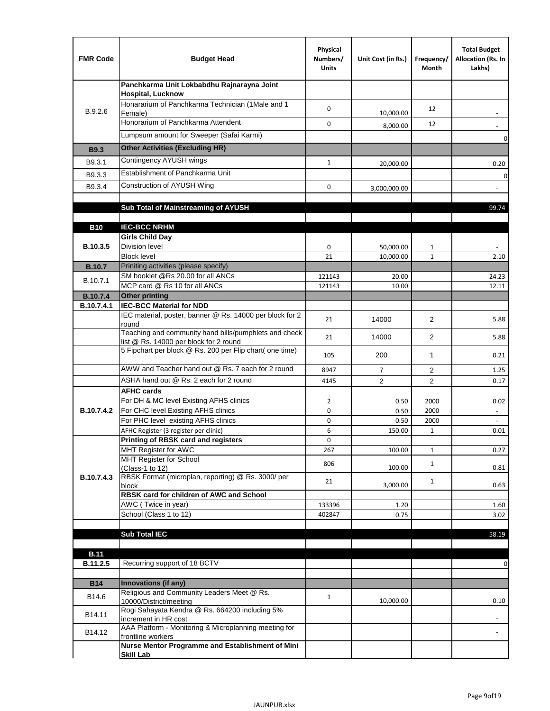| <b>FMR Code</b> | <b>Budget Head</b>                                                                              | Physical<br>Numbers/<br><b>Units</b> | Unit Cost (in Rs.) | Frequency/<br>Month | <b>Total Budget</b><br>Allocation (Rs. In<br>Lakhs) |
|-----------------|-------------------------------------------------------------------------------------------------|--------------------------------------|--------------------|---------------------|-----------------------------------------------------|
|                 | Panchkarma Unit Lokbabdhu Rajnarayna Joint<br><b>Hospital, Lucknow</b>                          |                                      |                    |                     |                                                     |
| B.9.2.6         | Honararium of Panchkarma Technician (1Male and 1<br>Female)                                     | 0                                    | 10,000.00          | 12                  |                                                     |
|                 | Honorarium of Panchkarma Attendent                                                              | 0                                    | 8,000.00           | 12                  |                                                     |
|                 | Lumpsum amount for Sweeper (Safai Karmi)                                                        |                                      |                    |                     | 0                                                   |
| <b>B9.3</b>     | <b>Other Activities (Excluding HR)</b>                                                          |                                      |                    |                     |                                                     |
| B9.3.1          | Contingency AYUSH wings                                                                         | $\mathbf{1}$                         | 20,000.00          |                     | 0.20                                                |
| B9.3.3          | Establishment of Panchkarma Unit                                                                |                                      |                    |                     | $\mathbf 0$                                         |
| B9.3.4          | Construction of AYUSH Wing                                                                      | 0                                    | 3,000,000.00       |                     |                                                     |
|                 |                                                                                                 |                                      |                    |                     |                                                     |
|                 | Sub Total of Mainstreaming of AYUSH                                                             |                                      |                    |                     | 99.74                                               |
| <b>B10</b>      | <b>IEC-BCC NRHM</b>                                                                             |                                      |                    |                     |                                                     |
|                 | <b>Girls Child Day</b>                                                                          |                                      |                    |                     |                                                     |
| B.10.3.5        | <b>Division level</b>                                                                           | 0                                    | 50,000.00          | 1                   |                                                     |
|                 | <b>Block level</b>                                                                              | 21                                   | 10,000.00          | $\mathbf{1}$        | 2.10                                                |
| <b>B.10.7</b>   | Priniting activities (please specify)                                                           |                                      |                    |                     |                                                     |
| B.10.7.1        | SM booklet @Rs 20.00 for all ANCs<br>MCP card @ Rs 10 for all ANCs                              | 121143<br>121143                     | 20.00<br>10.00     |                     | 24.23<br>12.11                                      |
| <b>B.10.7.4</b> | <b>Other printing</b>                                                                           |                                      |                    |                     |                                                     |
| B.10.7.4.1      | <b>IEC-BCC Material for NDD</b>                                                                 |                                      |                    |                     |                                                     |
|                 | IEC material, poster, banner @ Rs. 14000 per block for 2<br>round                               | 21                                   | 14000              | $\overline{2}$      | 5.88                                                |
|                 | Teaching and community hand bills/pumphlets and check<br>list @ Rs. 14000 per block for 2 round | 21                                   | 14000              | 2                   | 5.88                                                |
|                 | 5 Fipchart per block @ Rs. 200 per Flip chart( one time)                                        | 105                                  | 200                | $\mathbf{1}$        | 0.21                                                |
|                 | AWW and Teacher hand out @ Rs. 7 each for 2 round                                               | 8947                                 | $\overline{7}$     | $\overline{2}$      | 1.25                                                |
|                 | ASHA hand out @ Rs. 2 each for 2 round                                                          | 4145                                 | $\overline{2}$     | $\overline{2}$      | 0.17                                                |
|                 | <b>AFHC cards</b>                                                                               |                                      |                    |                     |                                                     |
| B.10.7.4.2      | For DH & MC level Existing AFHS clinics<br>For CHC level Existing AFHS clinics                  | $\overline{2}$<br>0                  | 0.50<br>0.50       | 2000<br>2000        | 0.02<br>$\overline{\phantom{a}}$                    |
|                 | For PHC level existing AFHS clinics                                                             | 0                                    | 0.50               | 2000                | $\omega$                                            |
|                 | AFHC Register (3 register per clinic)                                                           | 6                                    | 150.00             | $\mathbf{1}$        | 0.01                                                |
|                 | Printing of RBSK card and registers                                                             | 0                                    |                    |                     |                                                     |
|                 | MHT Register for AWC<br>MHT Register for School                                                 | 267                                  | 100.00             | $\mathbf{1}$        | 0.27                                                |
|                 | (Class-1 to 12)                                                                                 | 806                                  | 100.00             | $\mathbf{1}$        | 0.81                                                |
| B.10.7.4.3      | RBSK Format (microplan, reporting) @ Rs. 3000/ per                                              | 21                                   | 3,000.00           | $\mathbf{1}$        | 0.63                                                |
|                 | block<br>RBSK card for children of AWC and School                                               |                                      |                    |                     |                                                     |
|                 | AWC (Twice in year)                                                                             | 133396                               | 1.20               |                     | 1.60                                                |
|                 | School (Class 1 to 12)                                                                          | 402847                               | 0.75               |                     | 3.02                                                |
|                 | <b>Sub Total IEC</b>                                                                            |                                      |                    |                     | 58.19                                               |
|                 |                                                                                                 |                                      |                    |                     |                                                     |
| <b>B.11</b>     |                                                                                                 |                                      |                    |                     |                                                     |
| B.11.2.5        | Recurring support of 18 BCTV                                                                    |                                      |                    |                     | 0                                                   |
| <b>B14</b>      | Innovations (if any)                                                                            |                                      |                    |                     |                                                     |
|                 | Religious and Community Leaders Meet @ Rs.                                                      |                                      |                    |                     |                                                     |
| B14.6           | 10000/District/meeting                                                                          | $\mathbf{1}$                         | 10,000.00          |                     | 0.10                                                |
| B14.11          | Rogi Sahayata Kendra @ Rs. 664200 including 5%<br>increment in HR cost                          |                                      |                    |                     |                                                     |
| B14.12          | AAA Platform - Monitoring & Microplanning meeting for<br>frontline workers                      |                                      |                    |                     |                                                     |
|                 | Nurse Mentor Programme and Establishment of Mini                                                |                                      |                    |                     |                                                     |
|                 | <b>Skill Lab</b>                                                                                |                                      |                    |                     |                                                     |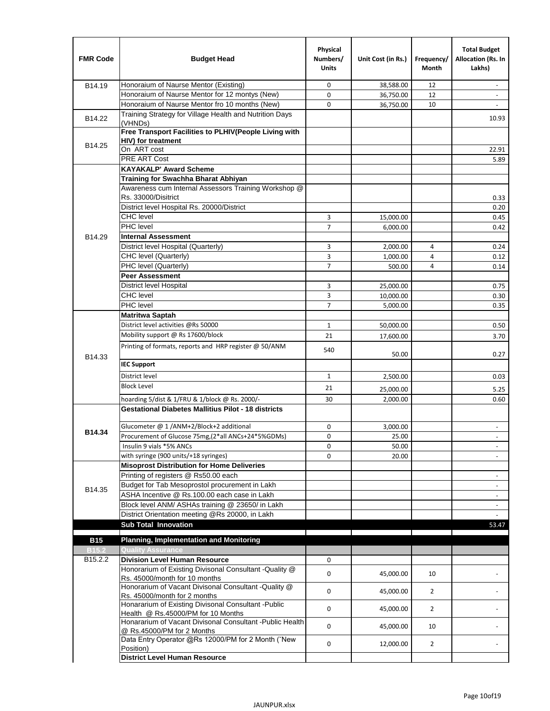| <b>FMR Code</b>     | <b>Budget Head</b>                                                                              | Physical<br>Numbers/<br><b>Units</b> | Unit Cost (in Rs.) | Frequency/<br>Month | <b>Total Budget</b><br>Allocation (Rs. In<br>Lakhs) |
|---------------------|-------------------------------------------------------------------------------------------------|--------------------------------------|--------------------|---------------------|-----------------------------------------------------|
| B14.19              | Honoraium of Naurse Mentor (Existing)                                                           | 0                                    | 38,588.00          | 12                  |                                                     |
|                     | Honoraium of Naurse Mentor for 12 montys (New)                                                  | 0                                    | 36,750.00          | 12                  | $\overline{a}$                                      |
|                     | Honoraium of Naurse Mentor fro 10 months (New)                                                  | 0                                    | 36,750.00          | 10                  | $\blacksquare$                                      |
| B14.22              | Training Strategy for Village Health and Nutrition Days<br>(VHNDs)                              |                                      |                    |                     | 10.93                                               |
|                     | Free Transport Facilities to PLHIV(People Living with                                           |                                      |                    |                     |                                                     |
| B14.25              | HIV) for treatment                                                                              |                                      |                    |                     |                                                     |
|                     | On ART cost                                                                                     |                                      |                    |                     | 22.91                                               |
|                     | <b>PRE ART Cost</b>                                                                             |                                      |                    |                     | 5.89                                                |
|                     | <b>KAYAKALP' Award Scheme</b>                                                                   |                                      |                    |                     |                                                     |
|                     | Training for Swachha Bharat Abhiyan                                                             |                                      |                    |                     |                                                     |
|                     | Awareness cum Internal Assessors Training Workshop @                                            |                                      |                    |                     |                                                     |
|                     | Rs. 33000/Disitrict                                                                             |                                      |                    |                     | 0.33                                                |
|                     | District level Hospital Rs. 20000/District                                                      |                                      |                    |                     | 0.20                                                |
|                     | <b>CHC</b> level                                                                                | 3                                    | 15,000.00          |                     | 0.45                                                |
|                     | PHC level                                                                                       | $\overline{7}$                       | 6,000.00           |                     | 0.42                                                |
| B14.29              | <b>Internal Assessment</b>                                                                      |                                      |                    |                     |                                                     |
|                     | District level Hospital (Quarterly)                                                             | 3                                    | 2,000.00           | 4                   | 0.24                                                |
|                     | CHC level (Quarterly)                                                                           | 3                                    | 1,000.00           | $\overline{4}$      | 0.12                                                |
|                     | PHC level (Quarterly)                                                                           | $\overline{7}$                       | 500.00             | 4                   | 0.14                                                |
|                     | <b>Peer Assessment</b>                                                                          |                                      |                    |                     |                                                     |
|                     | <b>District level Hospital</b>                                                                  | 3                                    | 25,000.00          |                     | 0.75                                                |
|                     | <b>CHC</b> level                                                                                | 3                                    | 10,000.00          |                     | 0.30                                                |
|                     | PHC level                                                                                       | $\overline{7}$                       | 5,000.00           |                     | 0.35                                                |
|                     | <b>Matritwa Saptah</b>                                                                          |                                      |                    |                     |                                                     |
|                     | District level activities @Rs 50000                                                             | $\mathbf{1}$                         | 50,000.00          |                     | 0.50                                                |
|                     | Mobility support @ Rs 17600/block                                                               | 21                                   | 17,600.00          |                     | 3.70                                                |
| B14.33              | Printing of formats, reports and HRP register @ 50/ANM                                          | 540                                  | 50.00              |                     | 0.27                                                |
|                     | <b>IEC Support</b>                                                                              |                                      |                    |                     |                                                     |
|                     | District level                                                                                  | 1                                    | 2,500.00           |                     | 0.03                                                |
|                     | <b>Block Level</b>                                                                              | 21                                   | 25,000.00          |                     | 5.25                                                |
|                     | hoarding 5/dist & 1/FRU & 1/block @ Rs. 2000/-                                                  | 30                                   | 2,000.00           |                     | 0.60                                                |
|                     | <b>Gestational Diabetes Mallitius Pilot - 18 districts</b>                                      |                                      |                    |                     |                                                     |
|                     |                                                                                                 |                                      |                    |                     |                                                     |
| B14.34              | Glucometer @ 1 /ANM+2/Block+2 additional<br>Procurement of Glucose 75mg, (2*all ANCs+24*5%GDMs) | 0                                    | 3,000.00           |                     |                                                     |
|                     |                                                                                                 | 0                                    | 25.00              |                     |                                                     |
|                     | Insulin 9 vials *5% ANCs                                                                        | 0                                    | 50.00              |                     | $\blacksquare$                                      |
|                     | with syringe (900 units/+18 syringes)<br><b>Misoprost Distribution for Home Deliveries</b>      | 0                                    | 20.00              |                     |                                                     |
|                     | Printing of registers @ Rs50.00 each                                                            |                                      |                    |                     |                                                     |
|                     |                                                                                                 |                                      |                    |                     | $\overline{\phantom{a}}$                            |
| B14.35              | Budget for Tab Mesoprostol procurement in Lakh<br>ASHA Incentive @ Rs.100.00 each case in Lakh  |                                      |                    |                     | $\blacksquare$                                      |
|                     | Block level ANM/ ASHAs training @ 23650/ in Lakh                                                |                                      |                    |                     | $\overline{\phantom{a}}$                            |
|                     | District Orientation meeting @Rs 20000, in Lakh                                                 |                                      |                    |                     | $\omega$                                            |
|                     | <b>Sub Total Innovation</b>                                                                     |                                      |                    |                     | 53.47                                               |
| <b>B15</b>          | <b>Planning, Implementation and Monitoring</b>                                                  |                                      |                    |                     |                                                     |
| <b>B15.2</b>        | <b>Quality Assurance</b>                                                                        |                                      |                    |                     |                                                     |
| B <sub>15.2.2</sub> | <b>Division Level Human Resource</b>                                                            | 0                                    |                    |                     |                                                     |
|                     | Honorarium of Existing Divisonal Consultant - Quality @                                         |                                      |                    |                     |                                                     |
|                     | Rs. 45000/month for 10 months                                                                   | 0                                    | 45,000.00          | 10                  |                                                     |
|                     | Honorarium of Vacant Divisonal Consultant - Quality @<br>Rs. 45000/month for 2 months           | 0                                    | 45,000.00          | $\overline{2}$      |                                                     |
|                     | Honararium of Existing Divisonal Consultant - Public                                            | 0                                    | 45,000.00          | $\overline{2}$      |                                                     |
|                     | Health @ Rs.45000/PM for 10 Months<br>Honararium of Vacant Divisonal Consultant - Public Health |                                      |                    |                     |                                                     |
|                     | @ Rs.45000/PM for 2 Months                                                                      | 0                                    | 45,000.00          | 10                  |                                                     |
|                     | Data Entry Operator @Rs 12000/PM for 2 Month ("New<br>Position)                                 | 0                                    | 12,000.00          | $\overline{2}$      |                                                     |
|                     | <b>District Level Human Resource</b>                                                            |                                      |                    |                     |                                                     |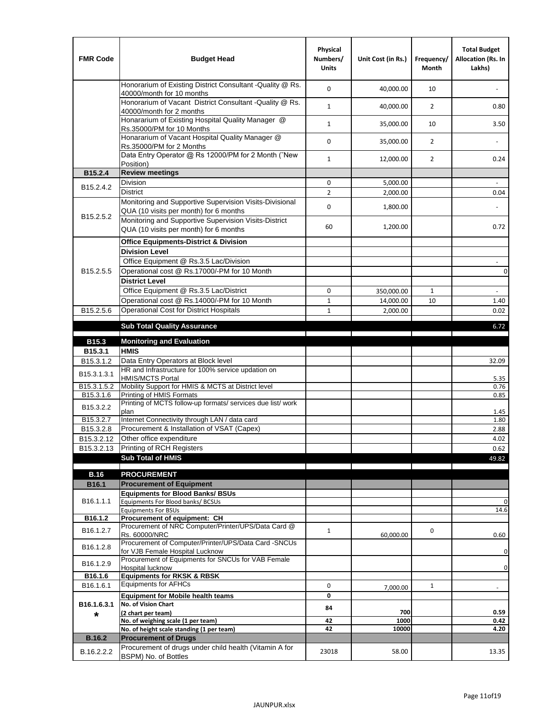| <b>FMR Code</b>         | <b>Budget Head</b>                                                                                | Physical<br>Numbers/<br><b>Units</b> | Unit Cost (in Rs.) | Frequency/<br><b>Month</b> | <b>Total Budget</b><br>Allocation (Rs. In<br>Lakhs) |
|-------------------------|---------------------------------------------------------------------------------------------------|--------------------------------------|--------------------|----------------------------|-----------------------------------------------------|
|                         | Honorarium of Existing District Consultant -Quality @ Rs.<br>40000/month for 10 months            | $\mathbf 0$                          | 40,000.00          | 10                         |                                                     |
|                         | Honorarium of Vacant District Consultant -Quality @ Rs.<br>40000/month for 2 months               | $\mathbf{1}$                         | 40,000.00          | $\overline{2}$             | 0.80                                                |
|                         | Honararium of Existing Hospital Quality Manager @<br>Rs.35000/PM for 10 Months                    | $\mathbf{1}$                         | 35,000.00          | 10                         | 3.50                                                |
|                         | Honararium of Vacant Hospital Quality Manager @<br>Rs.35000/PM for 2 Months                       | $\mathbf 0$                          | 35,000.00          | $\overline{2}$             |                                                     |
|                         | Data Entry Operator @ Rs 12000/PM for 2 Month ("New<br>Position)                                  | $\mathbf{1}$                         | 12,000.00          | $\overline{2}$             | 0.24                                                |
| B15.2.4                 | <b>Review meetings</b>                                                                            |                                      |                    |                            |                                                     |
| B <sub>15.2</sub> .4.2  | Division                                                                                          | 0                                    | 5,000.00           |                            |                                                     |
|                         | <b>District</b>                                                                                   | $\overline{2}$                       | 2,000.00           |                            | 0.04                                                |
| B15.2.5.2               | Monitoring and Supportive Supervision Visits-Divisional<br>QUA (10 visits per month) for 6 months | $\mathbf 0$                          | 1,800.00           |                            |                                                     |
|                         | Monitoring and Supportive Supervision Visits-District<br>QUA (10 visits per month) for 6 months   | 60                                   | 1,200.00           |                            | 0.72                                                |
|                         | <b>Office Equipments-District &amp; Division</b>                                                  |                                      |                    |                            |                                                     |
|                         | <b>Division Level</b>                                                                             |                                      |                    |                            |                                                     |
|                         | Office Equipment @ Rs.3.5 Lac/Division                                                            |                                      |                    |                            | $\sim$                                              |
| B15.2.5.5               | Operational cost @ Rs.17000/-PM for 10 Month                                                      |                                      |                    |                            | $\pmb{0}$                                           |
|                         | <b>District Level</b>                                                                             |                                      |                    |                            |                                                     |
|                         | Office Equipment @ Rs.3.5 Lac/District                                                            | 0                                    | 350,000.00         | $\mathbf{1}$               | $\blacksquare$                                      |
|                         | Operational cost @ Rs.14000/-PM for 10 Month                                                      | $1\,$                                | 14,000.00          | 10                         | 1.40                                                |
| B15.2.5.6               | <b>Operational Cost for District Hospitals</b>                                                    | $\mathbf{1}$                         | 2,000.00           |                            | 0.02                                                |
|                         | <b>Sub Total Quality Assurance</b>                                                                |                                      |                    |                            | 6.72                                                |
| B15.3                   | <b>Monitoring and Evaluation</b>                                                                  |                                      |                    |                            |                                                     |
| B15.3.1                 | <b>HMIS</b>                                                                                       |                                      |                    |                            |                                                     |
| B15.3.1.2               | Data Entry Operators at Block level                                                               |                                      |                    |                            | 32.09                                               |
| B15.3.1.3.1             | HR and Infrastructure for 100% service updation on<br><b>HMIS/MCTS Portal</b>                     |                                      |                    |                            | 5.35                                                |
| B <sub>15.3.1.5.2</sub> | Mobility Support for HMIS & MCTS at District level                                                |                                      |                    |                            | 0.76                                                |
| B15.3.1.6               | Printing of HMIS Formats<br>Printing of MCTS follow-up formats/ services due list/ work           |                                      |                    |                            | 0.85                                                |
| B15.3.2.2               | plan                                                                                              |                                      |                    |                            | 1.45                                                |
| B15.3.2.7               | Internet Connectivity through LAN / data card                                                     |                                      |                    |                            | 1.80                                                |
| B15.3.2.8               | Procurement & Installation of VSAT (Capex)                                                        |                                      |                    |                            | 2.88                                                |
| B15.3.2.12              | Other office expenditure                                                                          |                                      |                    |                            | 4.02                                                |
| B15.3.2.13              | Printing of RCH Registers                                                                         |                                      |                    |                            | 0.62                                                |
|                         | <b>Sub Total of HMIS</b>                                                                          |                                      |                    |                            | 49.82                                               |
| <b>B.16</b>             | <b>PROCUREMENT</b>                                                                                |                                      |                    |                            |                                                     |
| B16.1                   | <b>Procurement of Equipment</b>                                                                   |                                      |                    |                            |                                                     |
|                         | <b>Equipments for Blood Banks/ BSUs</b>                                                           |                                      |                    |                            |                                                     |
| B16.1.1.1               | Equipments For Blood banks/ BCSUs                                                                 |                                      |                    |                            | 0                                                   |
| B16.1.2                 | <b>Equipments For BSUs</b><br>Procurement of equipment: CH                                        |                                      |                    |                            | 14.6                                                |
|                         | Procurement of NRC Computer/Printer/UPS/Data Card @                                               |                                      |                    |                            |                                                     |
| B16.1.2.7               | Rs. 60000/NRC                                                                                     | $\mathbf{1}$                         | 60,000.00          | 0                          | 0.60                                                |
| B16.1.2.8               | Procurement of Computer/Printer/UPS/Data Card -SNCUs                                              |                                      |                    |                            |                                                     |
|                         | for VJB Female Hospital Lucknow<br>Procurement of Equipments for SNCUs for VAB Female             |                                      |                    |                            | 0                                                   |
| B16.1.2.9               | Hospital lucknow                                                                                  |                                      |                    |                            | 0                                                   |
| B16.1.6                 | <b>Equipments for RKSK &amp; RBSK</b>                                                             |                                      |                    |                            |                                                     |
| B16.1.6.1               | <b>Equipments for AFHCs</b>                                                                       | 0                                    | 7,000.00           | $\mathbf{1}$               | ÷,                                                  |
|                         | <b>Equipment for Mobile health teams</b>                                                          | 0                                    |                    |                            |                                                     |
| B16.1.6.3.1<br>*        | No. of Vision Chart<br>(2 chart per team)                                                         | 84                                   | 700                |                            | 0.59                                                |
|                         | No. of weighing scale (1 per team)                                                                | 42                                   | 1000               |                            | 0.42                                                |
|                         | No. of height scale standing (1 per team)                                                         | 42                                   | 10000              |                            | 4.20                                                |
| <b>B.16.2</b>           | <b>Procurement of Drugs</b>                                                                       |                                      |                    |                            |                                                     |
| B.16.2.2.2              | Procurement of drugs under child health (Vitamin A for<br>BSPM) No. of Bottles                    | 23018                                | 58.00              |                            | 13.35                                               |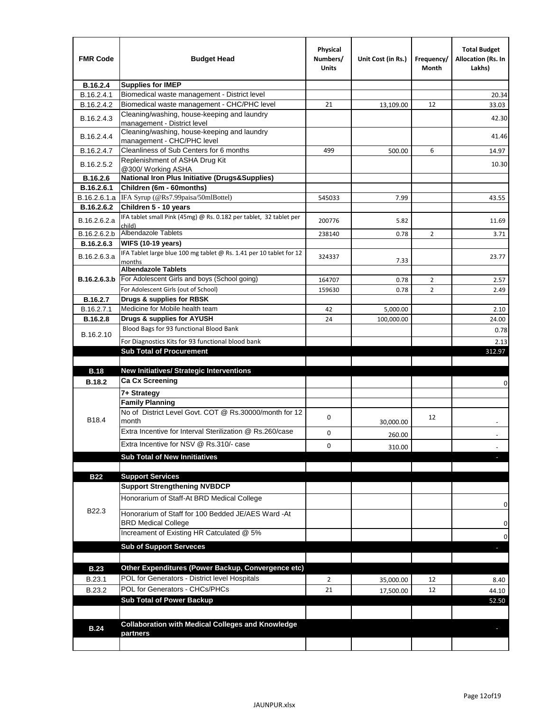| <b>FMR Code</b> | <b>Budget Head</b>                                                            | Physical<br>Numbers/<br><b>Units</b> | Unit Cost (in Rs.) | Frequency/<br>Month | <b>Total Budget</b><br><b>Allocation (Rs. In</b><br>Lakhs) |
|-----------------|-------------------------------------------------------------------------------|--------------------------------------|--------------------|---------------------|------------------------------------------------------------|
| B.16.2.4        | <b>Supplies for IMEP</b>                                                      |                                      |                    |                     |                                                            |
| B.16.2.4.1      | Biomedical waste management - District level                                  |                                      |                    |                     | 20.34                                                      |
| B.16.2.4.2      | Biomedical waste management - CHC/PHC level                                   | 21                                   | 13,109.00          | 12                  | 33.03                                                      |
| B.16.2.4.3      | Cleaning/washing, house-keeping and laundry<br>management - District level    |                                      |                    |                     | 42.30                                                      |
| B.16.2.4.4      | Cleaning/washing, house-keeping and laundry<br>management - CHC/PHC level     |                                      |                    |                     | 41.46                                                      |
| B.16.2.4.7      | Cleanliness of Sub Centers for 6 months                                       | 499                                  | 500.00             | 6                   | 14.97                                                      |
| B.16.2.5.2      | Replenishment of ASHA Drug Kit<br>@300/ Working ASHA                          |                                      |                    |                     | 10.30                                                      |
| B.16.2.6        | <b>National Iron Plus Initiative (Drugs&amp;Supplies)</b>                     |                                      |                    |                     |                                                            |
| B.16.2.6.1      | Children (6m - 60months)                                                      |                                      |                    |                     |                                                            |
| B.16.2.6.1.a    | IFA Syrup (@Rs7.99paisa/50mlBottel)                                           | 545033                               | 7.99               |                     | 43.55                                                      |
| B.16.2.6.2      | Children 5 - 10 years                                                         |                                      |                    |                     |                                                            |
| B.16.2.6.2.a    | IFA tablet small Pink (45mg) @ Rs. 0.182 per tablet, 32 tablet per<br>child)  | 200776                               | 5.82               |                     | 11.69                                                      |
| B.16.2.6.2.b    | <b>Albendazole Tablets</b>                                                    | 238140                               | 0.78               | 2                   | 3.71                                                       |
| B.16.2.6.3      | <b>WIFS (10-19 years)</b>                                                     |                                      |                    |                     |                                                            |
| B.16.2.6.3.a    | IFA Tablet large blue 100 mg tablet @ Rs. 1.41 per 10 tablet for 12<br>months | 324337                               | 7.33               |                     | 23.77                                                      |
|                 | <b>Albendazole Tablets</b>                                                    |                                      |                    |                     |                                                            |
| B.16.2.6.3.b    | For Adolescent Girls and boys (School going)                                  | 164707                               | 0.78               | $\overline{2}$      | 2.57                                                       |
|                 | For Adolescent Girls (out of School)                                          | 159630                               | 0.78               | $\overline{2}$      | 2.49                                                       |
| B.16.2.7        | Drugs & supplies for RBSK                                                     |                                      |                    |                     |                                                            |
| B.16.2.7.1      | Medicine for Mobile health team                                               | 42                                   | 5,000.00           |                     | 2.10                                                       |
| <b>B.16.2.8</b> | Drugs & supplies for AYUSH<br>Blood Bags for 93 functional Blood Bank         | 24                                   | 100,000.00         |                     | 24.00                                                      |
| B.16.2.10       |                                                                               |                                      |                    |                     | 0.78                                                       |
|                 | For Diagnostics Kits for 93 functional blood bank                             |                                      |                    |                     | 2.13                                                       |
|                 | <b>Sub Total of Procurement</b>                                               |                                      |                    |                     | 312.97                                                     |
| <b>B.18</b>     | <b>New Initiatives/ Strategic Interventions</b>                               |                                      |                    |                     |                                                            |
| <b>B.18.2</b>   | <b>Ca Cx Screening</b>                                                        |                                      |                    |                     |                                                            |
|                 |                                                                               |                                      |                    |                     | 0                                                          |
|                 | 7+ Strategy<br><b>Family Planning</b>                                         |                                      |                    |                     |                                                            |
| B18.4           | No of District Level Govt. COT @ Rs.30000/month for 12<br>month               | 0                                    |                    | 12                  |                                                            |
|                 | Extra Incentive for Interval Sterilization @ Rs.260/case                      |                                      | 30,000.00          |                     |                                                            |
|                 |                                                                               | 0                                    | 260.00             |                     |                                                            |
|                 | Extra Incentive for NSV @ Rs.310/- case                                       | 0                                    | 310.00             |                     |                                                            |
|                 | <b>Sub Total of New Innitiatives</b>                                          |                                      |                    |                     |                                                            |
|                 |                                                                               |                                      |                    |                     |                                                            |
| <b>B22</b>      | <b>Support Services</b><br><b>Support Strengthening NVBDCP</b>                |                                      |                    |                     |                                                            |
|                 | Honorarium of Staff-At BRD Medical College                                    |                                      |                    |                     |                                                            |
| B22.3           | Honorarium of Staff for 100 Bedded JE/AES Ward -At                            |                                      |                    |                     | 0                                                          |
|                 | <b>BRD Medical College</b><br>Increament of Existing HR Catculated @ 5%       |                                      |                    |                     | 0                                                          |
|                 | <b>Sub of Support Serveces</b>                                                |                                      |                    |                     | 0                                                          |
|                 |                                                                               |                                      |                    |                     |                                                            |
|                 |                                                                               |                                      |                    |                     |                                                            |
| <b>B.23</b>     | Other Expenditures (Power Backup, Convergence etc)                            |                                      |                    |                     |                                                            |
| B.23.1          | POL for Generators - District level Hospitals                                 | $\overline{2}$                       | 35,000.00          | 12                  | 8.40                                                       |
| B.23.2          | POL for Generators - CHCs/PHCs                                                | 21                                   | 17,500.00          | 12                  | 44.10                                                      |
|                 | <b>Sub Total of Power Backup</b>                                              |                                      |                    |                     | 52.50                                                      |
|                 |                                                                               |                                      |                    |                     |                                                            |
| <b>B.24</b>     | <b>Collaboration with Medical Colleges and Knowledge</b>                      |                                      |                    |                     |                                                            |
|                 | partners                                                                      |                                      |                    |                     |                                                            |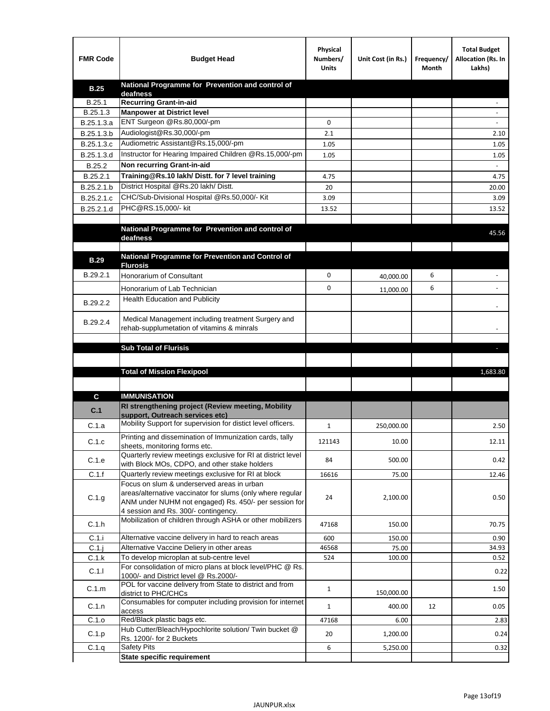| <b>FMR Code</b> | <b>Budget Head</b>                                                                                   | Physical<br>Numbers/<br><b>Units</b> | Unit Cost (in Rs.) | Frequency/<br>Month | <b>Total Budget</b><br>Allocation (Rs. In<br>Lakhs) |
|-----------------|------------------------------------------------------------------------------------------------------|--------------------------------------|--------------------|---------------------|-----------------------------------------------------|
| <b>B.25</b>     | National Programme for Prevention and control of                                                     |                                      |                    |                     |                                                     |
| B.25.1          | deafness<br><b>Recurring Grant-in-aid</b>                                                            |                                      |                    |                     |                                                     |
| B.25.1.3        | <b>Manpower at District level</b>                                                                    |                                      |                    |                     |                                                     |
| B.25.1.3.a      | ENT Surgeon @Rs.80,000/-pm                                                                           | 0                                    |                    |                     |                                                     |
| B.25.1.3.b      | Audiologist@Rs.30,000/-pm                                                                            | 2.1                                  |                    |                     | 2.10                                                |
| B.25.1.3.c      | Audiometric Assistant@Rs.15,000/-pm                                                                  | 1.05                                 |                    |                     | 1.05                                                |
| B.25.1.3.d      | Instructor for Hearing Impaired Children @Rs.15,000/-pm                                              | 1.05                                 |                    |                     | 1.05                                                |
| B.25.2          | Non recurring Grant-in-aid                                                                           |                                      |                    |                     |                                                     |
| B.25.2.1        | Training@Rs.10 lakh/ Distt. for 7 level training                                                     | 4.75                                 |                    |                     | 4.75                                                |
| B.25.2.1.b      | District Hospital @Rs.20 lakh/Distt.                                                                 | 20                                   |                    |                     | 20.00                                               |
| B.25.2.1.c      | CHC/Sub-Divisional Hospital @Rs.50,000/- Kit                                                         | 3.09                                 |                    |                     | 3.09                                                |
| B.25.2.1.d      | PHC@RS.15,000/- kit                                                                                  | 13.52                                |                    |                     | 13.52                                               |
|                 |                                                                                                      |                                      |                    |                     |                                                     |
|                 | National Programme for Prevention and control of<br>deafness                                         |                                      |                    |                     | 45.56                                               |
|                 | National Programme for Prevention and Control of                                                     |                                      |                    |                     |                                                     |
| <b>B.29</b>     | <b>Flurosis</b>                                                                                      |                                      |                    |                     |                                                     |
| B.29.2.1        | Honorarium of Consultant                                                                             | 0                                    | 40,000.00          | 6                   |                                                     |
|                 | Honorarium of Lab Technician                                                                         | 0                                    | 11,000.00          | 6                   |                                                     |
| B.29.2.2        | <b>Health Education and Publicity</b>                                                                |                                      |                    |                     |                                                     |
|                 |                                                                                                      |                                      |                    |                     |                                                     |
| B.29.2.4        | Medical Management including treatment Surgery and                                                   |                                      |                    |                     |                                                     |
|                 | rehab-supplumetation of vitamins & minrals                                                           |                                      |                    |                     |                                                     |
|                 | <b>Sub Total of Flurisis</b>                                                                         |                                      |                    |                     | ь                                                   |
|                 |                                                                                                      |                                      |                    |                     |                                                     |
|                 | <b>Total of Mission Flexipool</b>                                                                    |                                      |                    |                     | 1,683.80                                            |
|                 |                                                                                                      |                                      |                    |                     |                                                     |
|                 |                                                                                                      |                                      |                    |                     |                                                     |
| С               | <b>IMMUNISATION</b><br>RI strengthening project (Review meeting, Mobility                            |                                      |                    |                     |                                                     |
| C.1             | support, Outreach services etc)                                                                      |                                      |                    |                     |                                                     |
| C.1.a           | Mobility Support for supervision for distict level officers.                                         | $\mathbf{1}$                         | 250,000.00         |                     | 2.50                                                |
|                 | Printing and dissemination of Immunization cards, tally                                              |                                      |                    |                     |                                                     |
| C.1.c           | sheets, monitoring forms etc.                                                                        | 121143                               | 10.00              |                     | 12.11                                               |
| C.1.e           | Quarterly review meetings exclusive for RI at district level                                         | 84                                   | 500.00             |                     | 0.42                                                |
| C.1.f           | with Block MOs, CDPO, and other stake holders<br>Quarterly review meetings exclusive for RI at block | 16616                                | 75.00              |                     | 12.46                                               |
|                 | Focus on slum & underserved areas in urban                                                           |                                      |                    |                     |                                                     |
|                 | areas/alternative vaccinator for slums (only where regular                                           |                                      |                    |                     |                                                     |
| C.1.g           | ANM under NUHM not engaged) Rs. 450/- per session for                                                | 24                                   | 2,100.00           |                     | 0.50                                                |
|                 | 4 session and Rs. 300/- contingency.                                                                 |                                      |                    |                     |                                                     |
| C.1.h           | Mobilization of children through ASHA or other mobilizers                                            | 47168                                | 150.00             |                     | 70.75                                               |
| C.1.i           | Alternative vaccine delivery in hard to reach areas                                                  | 600                                  | 150.00             |                     | 0.90                                                |
| $C.1$ .j        | Alternative Vaccine Deliery in other areas                                                           | 46568                                | 75.00              |                     | 34.93                                               |
| C.1.k           | To develop microplan at sub-centre level                                                             | 524                                  | 100.00             |                     | 0.52                                                |
| C.1.1           | For consolidation of micro plans at block level/PHC @ Rs.<br>1000/- and District level @ Rs.2000/-   |                                      |                    |                     | 0.22                                                |
| C.1.m           | POL for vaccine delivery from State to district and from<br>district to PHC/CHCs                     | $\mathbf{1}$                         | 150,000.00         |                     | 1.50                                                |
| C.1.n           | Consumables for computer including provision for internet                                            | $\mathbf{1}$                         | 400.00             | 12                  | 0.05                                                |
| C.1.o           | access<br>Red/Black plastic bags etc.                                                                | 47168                                | 6.00               |                     | 2.83                                                |
| C.1.p           | Hub Cutter/Bleach/Hypochlorite solution/ Twin bucket @                                               | 20                                   | 1,200.00           |                     | 0.24                                                |
|                 | Rs. 1200/- for 2 Buckets                                                                             |                                      |                    |                     |                                                     |
| C.1.q           | <b>Safety Pits</b><br><b>State specific requirement</b>                                              | 6                                    | 5,250.00           |                     | 0.32                                                |
|                 |                                                                                                      |                                      |                    |                     |                                                     |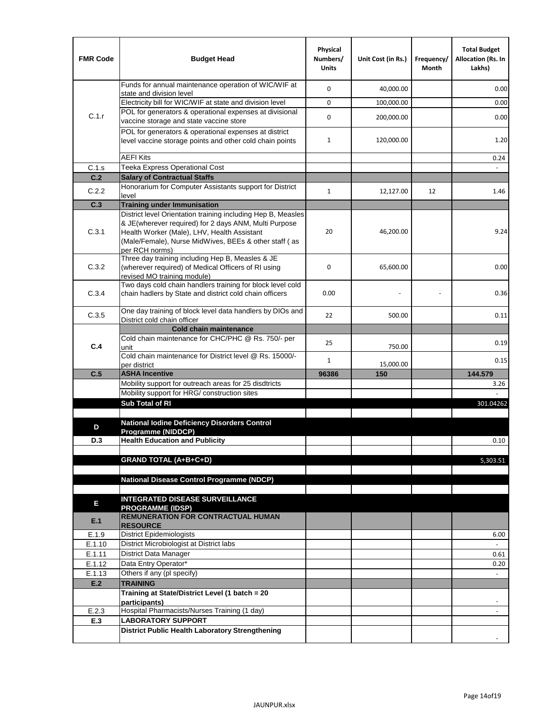| <b>FMR Code</b>  | <b>Budget Head</b>                                                                                                                                                              | Physical<br>Numbers/<br><b>Units</b> | Unit Cost (in Rs.) | Frequency/<br>Month | <b>Total Budget</b><br><b>Allocation (Rs. In</b><br>Lakhs) |
|------------------|---------------------------------------------------------------------------------------------------------------------------------------------------------------------------------|--------------------------------------|--------------------|---------------------|------------------------------------------------------------|
|                  | Funds for annual maintenance operation of WIC/WIF at<br>state and division level                                                                                                | $\mathbf 0$                          | 40,000.00          |                     | 0.00                                                       |
|                  | Electricity bill for WIC/WIF at state and division level                                                                                                                        | $\mathbf 0$                          | 100,000.00         |                     | 0.00                                                       |
| C.1.r            | POL for generators & operational expenses at divisional                                                                                                                         | $\mathbf 0$                          |                    |                     |                                                            |
|                  | vaccine storage and state vaccine store                                                                                                                                         |                                      | 200,000.00         |                     | 0.00                                                       |
|                  | POL for generators & operational expenses at district<br>level vaccine storage points and other cold chain points                                                               | $\mathbf{1}$                         | 120,000.00         |                     | 1.20                                                       |
|                  | <b>AEFI Kits</b>                                                                                                                                                                |                                      |                    |                     | 0.24                                                       |
| C.1.s            | Teeka Express Operational Cost                                                                                                                                                  |                                      |                    |                     |                                                            |
| C.2              | <b>Salary of Contractual Staffs</b>                                                                                                                                             |                                      |                    |                     |                                                            |
| C.2.2            | Honorarium for Computer Assistants support for District<br>level                                                                                                                | $\mathbf{1}$                         | 12,127.00          | 12                  | 1.46                                                       |
| C.3              | <b>Training under Immunisation</b>                                                                                                                                              |                                      |                    |                     |                                                            |
|                  | District level Orientation training including Hep B, Measles                                                                                                                    |                                      |                    |                     |                                                            |
| C.3.1            | & JE(wherever required) for 2 days ANM, Multi Purpose<br>Health Worker (Male), LHV, Health Assistant<br>(Male/Female), Nurse MidWives, BEEs & other staff (as<br>per RCH norms) | 20                                   | 46,200.00          |                     | 9.24                                                       |
| C.3.2            | Three day training including Hep B, Measles & JE<br>(wherever required) of Medical Officers of RI using<br>revised MO training module)                                          | $\mathbf 0$                          | 65,600.00          |                     | 0.00                                                       |
| C.3.4            | Two days cold chain handlers training for block level cold<br>chain hadlers by State and district cold chain officers                                                           | 0.00                                 |                    |                     | 0.36                                                       |
| C.3.5            | One day training of block level data handlers by DIOs and<br>District cold chain officer                                                                                        | 22                                   | 500.00             |                     | 0.11                                                       |
|                  | <b>Cold chain maintenance</b>                                                                                                                                                   |                                      |                    |                     |                                                            |
| C.4              | Cold chain maintenance for CHC/PHC @ Rs. 750/- per<br>unit                                                                                                                      | 25                                   | 750.00             |                     | 0.19                                                       |
|                  | Cold chain maintenance for District level @ Rs. 15000/-<br>per district                                                                                                         | $\mathbf{1}$                         | 15,000.00          |                     | 0.15                                                       |
| C.5              | <b>ASHA Incentive</b>                                                                                                                                                           | 96386                                | 150                |                     | 144.579                                                    |
|                  | Mobility support for outreach areas for 25 disdtricts                                                                                                                           |                                      |                    |                     | 3.26                                                       |
|                  | Mobility support for HRG/ construction sites                                                                                                                                    |                                      |                    |                     |                                                            |
|                  | Sub Total of RI                                                                                                                                                                 |                                      |                    |                     | 301.04262                                                  |
|                  |                                                                                                                                                                                 |                                      |                    |                     |                                                            |
| D                | <b>National Iodine Deficiency Disorders Control</b><br>Programme (NIDDCP)                                                                                                       |                                      |                    |                     |                                                            |
| D.3              | <b>Health Education and Publicity</b>                                                                                                                                           |                                      |                    |                     | 0.10                                                       |
|                  |                                                                                                                                                                                 |                                      |                    |                     |                                                            |
|                  | <b>GRAND TOTAL (A+B+C+D)</b>                                                                                                                                                    |                                      |                    |                     | 5,303.51                                                   |
|                  |                                                                                                                                                                                 |                                      |                    |                     |                                                            |
|                  | National Disease Control Programme (NDCP)                                                                                                                                       |                                      |                    |                     |                                                            |
|                  | <b>INTEGRATED DISEASE SURVEILLANCE</b>                                                                                                                                          |                                      |                    |                     |                                                            |
| Е                | <b>PROGRAMME (IDSP)</b>                                                                                                                                                         |                                      |                    |                     |                                                            |
| E.1              | REMUNERATION FOR CONTRACTUAL HUMAN<br><b>RESOURCE</b>                                                                                                                           |                                      |                    |                     |                                                            |
| E.1.9            | District Epidemiologists                                                                                                                                                        |                                      |                    |                     | 6.00                                                       |
| E.1.10           | District Microbiologist at District labs                                                                                                                                        |                                      |                    |                     |                                                            |
| E.1.11           | District Data Manager                                                                                                                                                           |                                      |                    |                     | 0.61                                                       |
| E.1.12<br>E.1.13 | Data Entry Operator*<br>Others if any (pl specify)                                                                                                                              |                                      |                    |                     | 0.20<br>$\omega$                                           |
| E.2              | <b>TRAINING</b>                                                                                                                                                                 |                                      |                    |                     |                                                            |
|                  | Training at State/District Level (1 batch = 20                                                                                                                                  |                                      |                    |                     |                                                            |
|                  | participants)                                                                                                                                                                   |                                      |                    |                     |                                                            |
| E.2.3            | Hospital Pharmacists/Nurses Training (1 day)                                                                                                                                    |                                      |                    |                     |                                                            |
| E.3              | <b>LABORATORY SUPPORT</b>                                                                                                                                                       |                                      |                    |                     |                                                            |
|                  | <b>District Public Health Laboratory Strengthening</b>                                                                                                                          |                                      |                    |                     |                                                            |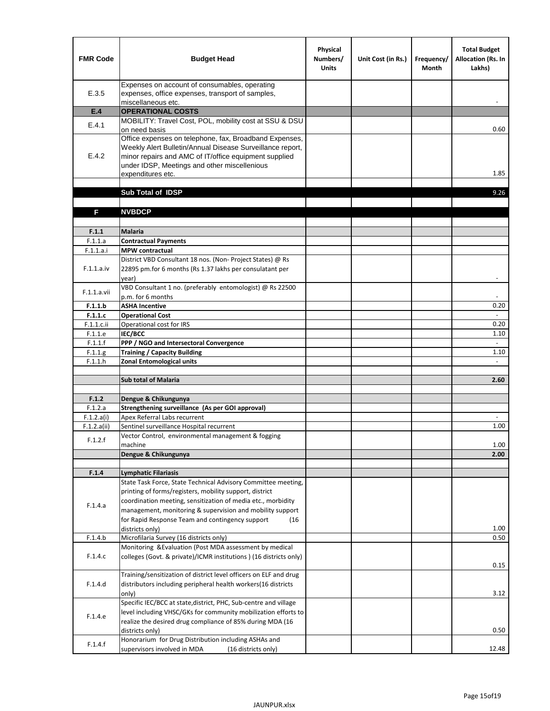| <b>FMR Code</b> | <b>Budget Head</b>                                                                                                                                                                      | Physical<br>Numbers/<br><b>Units</b> | Unit Cost (in Rs.) | Frequency/<br>Month | <b>Total Budget</b><br><b>Allocation (Rs. In</b><br>Lakhs) |
|-----------------|-----------------------------------------------------------------------------------------------------------------------------------------------------------------------------------------|--------------------------------------|--------------------|---------------------|------------------------------------------------------------|
| E.3.5           | Expenses on account of consumables, operating<br>expenses, office expenses, transport of samples,<br>miscellaneous etc.                                                                 |                                      |                    |                     |                                                            |
| E.4             | <b>OPERATIONAL COSTS</b>                                                                                                                                                                |                                      |                    |                     |                                                            |
|                 | MOBILITY: Travel Cost, POL, mobility cost at SSU & DSU                                                                                                                                  |                                      |                    |                     |                                                            |
| E.4.1           | on need basis<br>Office expenses on telephone, fax, Broadband Expenses,                                                                                                                 |                                      |                    |                     | 0.60                                                       |
| E.4.2           | Weekly Alert Bulletin/Annual Disease Surveillance report,<br>minor repairs and AMC of IT/office equipment supplied<br>under IDSP, Meetings and other miscellenious<br>expenditures etc. |                                      |                    |                     | 1.85                                                       |
|                 | Sub Total of IDSP                                                                                                                                                                       |                                      |                    |                     | 9.26                                                       |
|                 |                                                                                                                                                                                         |                                      |                    |                     |                                                            |
| F               | <b>NVBDCP</b>                                                                                                                                                                           |                                      |                    |                     |                                                            |
| F.1.1           | <b>Malaria</b>                                                                                                                                                                          |                                      |                    |                     |                                                            |
| F.1.1.a         | <b>Contractual Payments</b>                                                                                                                                                             |                                      |                    |                     |                                                            |
| F.1.1.a.i       | <b>MPW</b> contractual                                                                                                                                                                  |                                      |                    |                     |                                                            |
| F.1.1.a.iv      | District VBD Consultant 18 nos. (Non-Project States) @ Rs<br>22895 pm.for 6 months (Rs 1.37 lakhs per consulatant per<br>year)                                                          |                                      |                    |                     | $\overline{\phantom{a}}$                                   |
| F.1.1.a.vii     | VBD Consultant 1 no. (preferably entomologist) @ Rs 22500<br>p.m. for 6 months                                                                                                          |                                      |                    |                     |                                                            |
| F.1.1.b         | <b>ASHA Incentive</b>                                                                                                                                                                   |                                      |                    |                     | 0.20                                                       |
| F.1.1.c         | <b>Operational Cost</b>                                                                                                                                                                 |                                      |                    |                     |                                                            |
| F.1.1.c.ii      | Operational cost for IRS                                                                                                                                                                |                                      |                    |                     | 0.20                                                       |
| F.1.1.e         | <b>IEC/BCC</b>                                                                                                                                                                          |                                      |                    |                     | 1.10                                                       |
| F.1.1.f         | PPP / NGO and Intersectoral Convergence                                                                                                                                                 |                                      |                    |                     | $\omega$                                                   |
| F.1.1.g         | <b>Training / Capacity Building</b>                                                                                                                                                     |                                      |                    |                     | 1.10                                                       |
| F.1.1.h         | <b>Zonal Entomological units</b>                                                                                                                                                        |                                      |                    |                     | $\overline{a}$                                             |
|                 | <b>Sub total of Malaria</b>                                                                                                                                                             |                                      |                    |                     | 2.60                                                       |
|                 |                                                                                                                                                                                         |                                      |                    |                     |                                                            |
| F.1.2           | Dengue & Chikungunya                                                                                                                                                                    |                                      |                    |                     |                                                            |
| F.1.2.a         | Strengthening surveillance (As per GOI approval)                                                                                                                                        |                                      |                    |                     |                                                            |
| F.1.2.a(i)      | Apex Referral Labs recurrent                                                                                                                                                            |                                      |                    |                     |                                                            |
| F.1.2.a(ii)     | Sentinel surveillance Hospital recurrent                                                                                                                                                |                                      |                    |                     | 1.00                                                       |
| F.1.2.f         | Vector Control, environmental management & fogging                                                                                                                                      |                                      |                    |                     |                                                            |
|                 | machine                                                                                                                                                                                 |                                      |                    |                     | 1.00<br>2.00                                               |
|                 | Dengue & Chikungunya                                                                                                                                                                    |                                      |                    |                     |                                                            |
| F.1.4           | <b>Lymphatic Filariasis</b>                                                                                                                                                             |                                      |                    |                     |                                                            |
|                 | State Task Force, State Technical Advisory Committee meeting,                                                                                                                           |                                      |                    |                     |                                                            |
|                 | printing of forms/registers, mobility support, district                                                                                                                                 |                                      |                    |                     |                                                            |
| F.1.4.a         | coordination meeting, sensitization of media etc., morbidity                                                                                                                            |                                      |                    |                     |                                                            |
|                 | management, monitoring & supervision and mobility support                                                                                                                               |                                      |                    |                     |                                                            |
|                 | for Rapid Response Team and contingency support<br>(16)                                                                                                                                 |                                      |                    |                     | 1.00                                                       |
| F.1.4.b         | districts only)<br>Microfilaria Survey (16 districts only)                                                                                                                              |                                      |                    |                     | 0.50                                                       |
|                 | Monitoring & Evaluation (Post MDA assessment by medical                                                                                                                                 |                                      |                    |                     |                                                            |
| F.1.4.c         | colleges (Govt. & private)/ICMR institutions ) (16 districts only)                                                                                                                      |                                      |                    |                     | 0.15                                                       |
|                 | Training/sensitization of district level officers on ELF and drug                                                                                                                       |                                      |                    |                     |                                                            |
| F.1.4.d         | distributors including peripheral health workers(16 districts                                                                                                                           |                                      |                    |                     |                                                            |
|                 | only)                                                                                                                                                                                   |                                      |                    |                     | 3.12                                                       |
|                 | Specific IEC/BCC at state, district, PHC, Sub-centre and village                                                                                                                        |                                      |                    |                     |                                                            |
| F.1.4.e         | level including VHSC/GKs for community mobilization efforts to<br>realize the desired drug compliance of 85% during MDA (16                                                             |                                      |                    |                     |                                                            |
|                 | districts only)<br>Honorarium for Drug Distribution including ASHAs and                                                                                                                 |                                      |                    |                     | 0.50                                                       |
| F.1.4.f         | supervisors involved in MDA<br>(16 districts only)                                                                                                                                      |                                      |                    |                     | 12.48                                                      |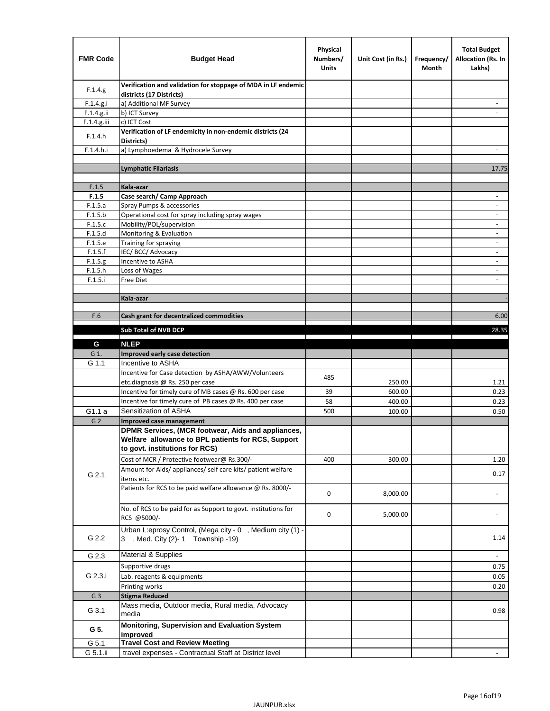| <b>FMR Code</b> | <b>Budget Head</b>                                                                                                                         | Physical<br>Numbers/<br><b>Units</b> | Unit Cost (in Rs.) | Frequency/<br>Month | <b>Total Budget</b><br><b>Allocation (Rs. In</b><br>Lakhs) |
|-----------------|--------------------------------------------------------------------------------------------------------------------------------------------|--------------------------------------|--------------------|---------------------|------------------------------------------------------------|
| F.1.4.g.        | Verification and validation for stoppage of MDA in LF endemic<br>districts (17 Districts)                                                  |                                      |                    |                     |                                                            |
| F.1.4.g.i       | a) Additional MF Survey                                                                                                                    |                                      |                    |                     |                                                            |
| F.1.4.g.ii      | b) ICT Survey                                                                                                                              |                                      |                    |                     |                                                            |
| $F.1.4.g.$ iii  | c) ICT Cost                                                                                                                                |                                      |                    |                     |                                                            |
| F.1.4.h         | Verification of LF endemicity in non-endemic districts (24<br>Districts)                                                                   |                                      |                    |                     |                                                            |
| F.1.4.h.i       | a) Lymphoedema & Hydrocele Survey                                                                                                          |                                      |                    |                     |                                                            |
|                 | Lymphatic Filariasis                                                                                                                       |                                      |                    |                     | 17.75                                                      |
|                 |                                                                                                                                            |                                      |                    |                     |                                                            |
| F.1.5           | Kala-azar                                                                                                                                  |                                      |                    |                     |                                                            |
| F.1.5           | Case search/ Camp Approach                                                                                                                 |                                      |                    |                     | $\overline{\phantom{a}}$                                   |
| F.1.5.a         | Spray Pumps & accessories                                                                                                                  |                                      |                    |                     | $\blacksquare$                                             |
| F.1.5.b         | Operational cost for spray including spray wages                                                                                           |                                      |                    |                     |                                                            |
| F.1.5.c         | Mobility/POL/supervision                                                                                                                   |                                      |                    |                     | $\overline{\phantom{a}}$                                   |
| F.1.5.d         | Monitoring & Evaluation                                                                                                                    |                                      |                    |                     |                                                            |
| F.1.5.e         | Training for spraying                                                                                                                      |                                      |                    |                     | $\blacksquare$                                             |
| F.1.5.f         | IEC/BCC/Advocacy                                                                                                                           |                                      |                    |                     | $\overline{a}$                                             |
| F.1.5.g         | Incentive to ASHA                                                                                                                          |                                      |                    |                     | $\overline{\phantom{a}}$                                   |
| F.1.5.h         | Loss of Wages                                                                                                                              |                                      |                    |                     | $\qquad \qquad \blacksquare$                               |
| F.1.5.i         | Free Diet                                                                                                                                  |                                      |                    |                     |                                                            |
|                 |                                                                                                                                            |                                      |                    |                     |                                                            |
|                 | Kala-azar                                                                                                                                  |                                      |                    |                     |                                                            |
| F.6             | Cash grant for decentralized commodities                                                                                                   |                                      |                    |                     | 6.00                                                       |
|                 |                                                                                                                                            |                                      |                    |                     |                                                            |
|                 | <b>Sub Total of NVB DCP</b>                                                                                                                |                                      |                    |                     | 28.35                                                      |
| G               | <b>NLEP</b>                                                                                                                                |                                      |                    |                     |                                                            |
| G 1.            | Improved early case detection                                                                                                              |                                      |                    |                     |                                                            |
| G 1.1           | Incentive to ASHA                                                                                                                          |                                      |                    |                     |                                                            |
|                 | Incentive for Case detection by ASHA/AWW/Volunteers                                                                                        | 485                                  |                    |                     |                                                            |
|                 | etc.diagnosis @ Rs. 250 per case                                                                                                           |                                      | 250.00             |                     | 1.21                                                       |
|                 | Incentive for timely cure of MB cases @ Rs. 600 per case                                                                                   | 39                                   | 600.00             |                     | 0.23                                                       |
|                 | Incentive for timely cure of PB cases @ Rs. 400 per case                                                                                   | 58                                   | 400.00             |                     | 0.23                                                       |
| G1.1 a          | Sensitization of ASHA                                                                                                                      | 500                                  | 100.00             |                     | 0.50                                                       |
| G <sub>2</sub>  | <b>Improved case management</b>                                                                                                            |                                      |                    |                     |                                                            |
|                 | DPMR Services, (MCR footwear, Aids and appliances,<br>Welfare allowance to BPL patients for RCS, Support<br>to govt. institutions for RCS) |                                      |                    |                     |                                                            |
|                 | Cost of MCR / Protective footwear@ Rs.300/-                                                                                                | 400                                  | 300.00             |                     | 1.20                                                       |
| G 2.1           | Amount for Aids/ appliances/ self care kits/ patient welfare<br>items etc.                                                                 |                                      |                    |                     | 0.17                                                       |
|                 | Patients for RCS to be paid welfare allowance @ Rs. 8000/-                                                                                 | 0                                    | 8,000.00           |                     |                                                            |
|                 | No. of RCS to be paid for as Support to govt. institutions for<br>RCS @5000/-                                                              | 0                                    | 5,000.00           |                     |                                                            |
| G 2.2           | Urban L:eprosy Control, (Mega city - 0, Medium city (1) -<br>3 , Med. City (2)-1 Township -19)                                             |                                      |                    |                     | 1.14                                                       |
| G 2.3           | Material & Supplies                                                                                                                        |                                      |                    |                     | $\sim$                                                     |
| G 2.3.i         | Supportive drugs                                                                                                                           |                                      |                    |                     | 0.75                                                       |
|                 | Lab. reagents & equipments                                                                                                                 |                                      |                    |                     | 0.05                                                       |
|                 | Printing works                                                                                                                             |                                      |                    |                     | 0.20                                                       |
| G <sub>3</sub>  | <b>Stigma Reduced</b>                                                                                                                      |                                      |                    |                     |                                                            |
|                 | Mass media, Outdoor media, Rural media, Advocacy                                                                                           |                                      |                    |                     |                                                            |
| G 3.1           | media<br>Monitoring, Supervision and Evaluation System                                                                                     |                                      |                    |                     | 0.98                                                       |
| G 5.            | improved                                                                                                                                   |                                      |                    |                     |                                                            |
| G 5.1           | <b>Travel Cost and Review Meeting</b>                                                                                                      |                                      |                    |                     |                                                            |
| G 5.1.ii        | travel expenses - Contractual Staff at District level                                                                                      |                                      |                    |                     |                                                            |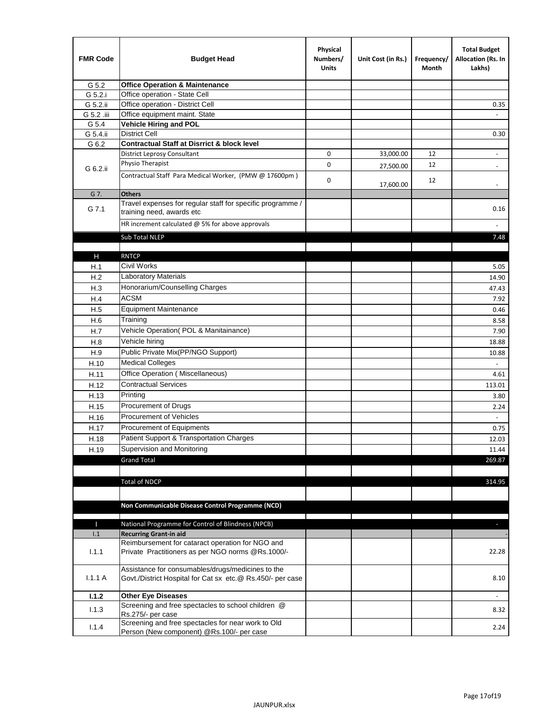| <b>FMR Code</b> | <b>Budget Head</b>                                                                                              | Physical<br>Numbers/<br><b>Units</b> | Unit Cost (in Rs.) | Frequency/<br>Month | <b>Total Budget</b><br>Allocation (Rs. In<br>Lakhs) |
|-----------------|-----------------------------------------------------------------------------------------------------------------|--------------------------------------|--------------------|---------------------|-----------------------------------------------------|
| G 5.2           | <b>Office Operation &amp; Maintenance</b>                                                                       |                                      |                    |                     |                                                     |
| G 5.2.i         | Office operation - State Cell                                                                                   |                                      |                    |                     |                                                     |
| G 5.2.ii        | Office operation - District Cell                                                                                |                                      |                    |                     | 0.35                                                |
| G 5.2 .iii      | Office equipment maint. State                                                                                   |                                      |                    |                     |                                                     |
| G 5.4           | <b>Vehicle Hiring and POL</b>                                                                                   |                                      |                    |                     |                                                     |
| G 5.4.ii        | <b>District Cell</b>                                                                                            |                                      |                    |                     | 0.30                                                |
| G 6.2           | <b>Contractual Staff at Disrrict &amp; block level</b>                                                          |                                      |                    |                     |                                                     |
|                 | <b>District Leprosy Consultant</b>                                                                              | 0                                    | 33,000.00          | 12                  | $\overline{\phantom{a}}$                            |
| G 6.2.ii        | Physio Therapist                                                                                                | 0                                    | 27,500.00          | 12                  |                                                     |
|                 | Contractual Staff Para Medical Worker, (PMW @ 17600pm)                                                          | 0                                    | 17,600.00          | 12                  | $\overline{\phantom{a}}$                            |
| G 7.            | <b>Others</b>                                                                                                   |                                      |                    |                     |                                                     |
| G 7.1           | Travel expenses for regular staff for specific programme /<br>training need, awards etc                         |                                      |                    |                     | 0.16                                                |
|                 | HR increment calculated $@$ 5% for above approvals                                                              |                                      |                    |                     |                                                     |
|                 | Sub Total NLEP                                                                                                  |                                      |                    |                     | 7.48                                                |
|                 |                                                                                                                 |                                      |                    |                     |                                                     |
| н               | <b>RNTCP</b>                                                                                                    |                                      |                    |                     |                                                     |
| H.1             | Civil Works                                                                                                     |                                      |                    |                     | 5.05                                                |
| H.2             | <b>Laboratory Materials</b>                                                                                     |                                      |                    |                     | 14.90                                               |
| H.3             | Honorarium/Counselling Charges                                                                                  |                                      |                    |                     | 47.43                                               |
| H.4             | <b>ACSM</b>                                                                                                     |                                      |                    |                     | 7.92                                                |
| H.5             | <b>Equipment Maintenance</b>                                                                                    |                                      |                    |                     | 0.46                                                |
| H.6             | Training                                                                                                        |                                      |                    |                     | 8.58                                                |
| H.7             | Vehicle Operation(POL & Manitainance)                                                                           |                                      |                    |                     | 7.90                                                |
| H.8             | Vehicle hiring                                                                                                  |                                      |                    |                     | 18.88                                               |
| H.9             | Public Private Mix(PP/NGO Support)                                                                              |                                      |                    |                     | 10.88                                               |
| H.10            | <b>Medical Colleges</b>                                                                                         |                                      |                    |                     | $\overline{\phantom{a}}$                            |
| H.11            | Office Operation (Miscellaneous)                                                                                |                                      |                    |                     | 4.61                                                |
| H.12            | <b>Contractual Services</b>                                                                                     |                                      |                    |                     | 113.01                                              |
| H.13            | Printing                                                                                                        |                                      |                    |                     | 3.80                                                |
| H.15            | Procurement of Drugs                                                                                            |                                      |                    |                     | 2.24                                                |
| H.16            | Procurement of Vehicles                                                                                         |                                      |                    |                     | $\omega$                                            |
| H.17            | Procurement of Equipments                                                                                       |                                      |                    |                     | 0.75                                                |
| H.18            | Patient Support & Transportation Charges                                                                        |                                      |                    |                     | 12.03                                               |
| H.19            | Supervision and Monitoring                                                                                      |                                      |                    |                     | 11.44                                               |
|                 | <b>Grand Total</b>                                                                                              |                                      |                    |                     | 269.87                                              |
|                 |                                                                                                                 |                                      |                    |                     |                                                     |
|                 | <b>Total of NDCP</b>                                                                                            |                                      |                    |                     | 314.95                                              |
|                 |                                                                                                                 |                                      |                    |                     |                                                     |
|                 |                                                                                                                 |                                      |                    |                     |                                                     |
|                 | Non Communicable Disease Control Programme (NCD)                                                                |                                      |                    |                     |                                                     |
| Т               | National Programme for Control of Blindness (NPCB)                                                              |                                      |                    |                     | ٠                                                   |
| 1.1             | <b>Recurring Grant-in aid</b>                                                                                   |                                      |                    |                     |                                                     |
|                 | Reimbursement for cataract operation for NGO and                                                                |                                      |                    |                     |                                                     |
| 1.1.1           | Private Practitioners as per NGO norms @Rs.1000/-                                                               |                                      |                    |                     | 22.28                                               |
| 1.1.1A          | Assistance for consumables/drugs/medicines to the<br>Govt./District Hospital for Cat sx etc.@ Rs.450/- per case |                                      |                    |                     | 8.10                                                |
| 1.1.2           | <b>Other Eye Diseases</b>                                                                                       |                                      |                    |                     |                                                     |
|                 | Screening and free spectacles to school children @                                                              |                                      |                    |                     |                                                     |
| 1.1.3           | Rs.275/- per case                                                                                               |                                      |                    |                     | 8.32                                                |
| 1.1.4           | Screening and free spectacles for near work to Old                                                              |                                      |                    |                     | 2.24                                                |
|                 | Person (New component) @Rs.100/- per case                                                                       |                                      |                    |                     |                                                     |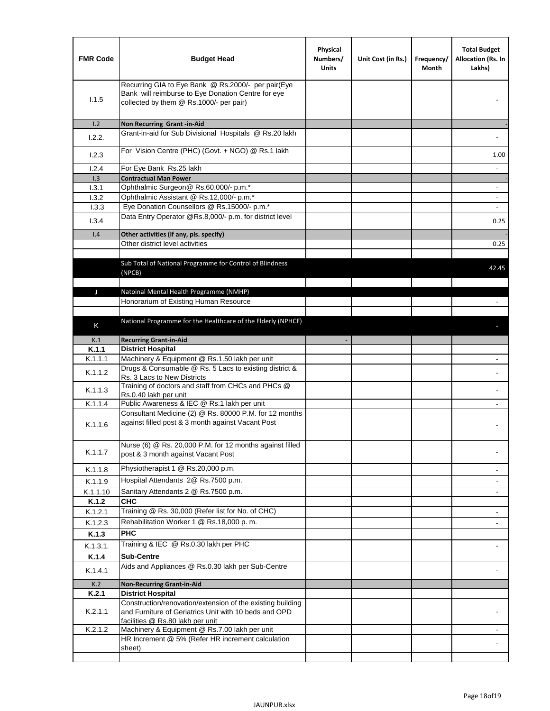| <b>FMR Code</b> | <b>Budget Head</b>                                                                                                                                  | Physical<br>Numbers/<br><b>Units</b> | Unit Cost (in Rs.) | Frequency/<br>Month | <b>Total Budget</b><br>Allocation (Rs. In<br>Lakhs) |
|-----------------|-----------------------------------------------------------------------------------------------------------------------------------------------------|--------------------------------------|--------------------|---------------------|-----------------------------------------------------|
| 1.1.5           | Recurring GIA to Eye Bank @ Rs.2000/- per pair(Eye<br>Bank will reimburse to Eye Donation Centre for eye<br>collected by them @ Rs.1000/- per pair) |                                      |                    |                     |                                                     |
| 1.2             | Non Recurring Grant -in-Aid                                                                                                                         |                                      |                    |                     |                                                     |
| 1.2.2.          | Grant-in-aid for Sub Divisional Hospitals @ Rs.20 lakh                                                                                              |                                      |                    |                     |                                                     |
| 1.2.3           | For Vision Centre (PHC) (Govt. + NGO) @ Rs.1 lakh                                                                                                   |                                      |                    |                     | 1.00                                                |
| 1.2.4           | For Eye Bank Rs.25 lakh                                                                                                                             |                                      |                    |                     | $\overline{\phantom{a}}$                            |
| 1.3             | <b>Contractual Man Power</b>                                                                                                                        |                                      |                    |                     |                                                     |
| 1.3.1<br>1.3.2  | Ophthalmic Surgeon@ Rs.60,000/- p.m.*<br>Ophthalmic Assistant @ Rs.12,000/- p.m.*                                                                   |                                      |                    |                     |                                                     |
| 1.3.3           | Eye Donation Counsellors @ Rs.15000/- p.m.*                                                                                                         |                                      |                    |                     | $\overline{\phantom{a}}$                            |
|                 | Data Entry Operator @Rs.8,000/- p.m. for district level                                                                                             |                                      |                    |                     |                                                     |
| 1.3.4           |                                                                                                                                                     |                                      |                    |                     | 0.25                                                |
| 1.4             | Other activities (if any, pls. specify)<br>Other district level activities                                                                          |                                      |                    |                     |                                                     |
|                 |                                                                                                                                                     |                                      |                    |                     | 0.25                                                |
|                 | Sub Total of National Programme for Control of Blindness<br>(NPCB)                                                                                  |                                      |                    |                     | 42.45                                               |
| J               | Natoinal Mental Health Programme (NMHP)                                                                                                             |                                      |                    |                     |                                                     |
|                 | Honorarium of Existing Human Resource                                                                                                               |                                      |                    |                     |                                                     |
|                 |                                                                                                                                                     |                                      |                    |                     |                                                     |
| K               | National Programme for the Healthcare of the Elderly (NPHCE)                                                                                        |                                      |                    |                     |                                                     |
|                 |                                                                                                                                                     |                                      |                    |                     |                                                     |
| K.1<br>K.1.1    | <b>Recurring Grant-in-Aid</b><br><b>District Hospital</b>                                                                                           |                                      |                    |                     |                                                     |
| K.1.1.1         | Machinery & Equipment @ Rs.1.50 lakh per unit                                                                                                       |                                      |                    |                     |                                                     |
| K.1.1.2         | Drugs & Consumable @ Rs. 5 Lacs to existing district &<br>Rs. 3 Lacs to New Districts                                                               |                                      |                    |                     |                                                     |
| K.1.1.3         | Training of doctors and staff from CHCs and PHCs @<br>Rs.0.40 lakh per unit                                                                         |                                      |                    |                     |                                                     |
| K.1.1.4         | Public Awareness & IEC @ Rs.1 lakh per unit                                                                                                         |                                      |                    |                     |                                                     |
| K.1.1.6         | Consultant Medicine (2) @ Rs. 80000 P.M. for 12 months<br>against filled post & 3 month against Vacant Post                                         |                                      |                    |                     |                                                     |
| K.1.1.7         | Nurse (6) @ Rs. 20,000 P.M. for 12 months against filled<br>post & 3 month against Vacant Post                                                      |                                      |                    |                     |                                                     |
| K.1.1.8         | Physiotherapist 1 @ Rs.20,000 p.m.                                                                                                                  |                                      |                    |                     |                                                     |
| K.1.1.9         | Hospital Attendants 2@ Rs.7500 p.m.                                                                                                                 |                                      |                    |                     |                                                     |
| K.1.1.10        | Sanitary Attendants 2 @ Rs.7500 p.m.                                                                                                                |                                      |                    |                     | $\overline{\phantom{a}}$                            |
| K.1.2           | <b>CHC</b>                                                                                                                                          |                                      |                    |                     |                                                     |
| K.1.2.1         | Training @ Rs. 30,000 (Refer list for No. of CHC)                                                                                                   |                                      |                    |                     |                                                     |
| K.1.2.3         | Rehabilitation Worker 1 @ Rs.18,000 p.m.                                                                                                            |                                      |                    |                     |                                                     |
| K.1.3           | <b>PHC</b>                                                                                                                                          |                                      |                    |                     |                                                     |
| K.1.3.1.        | Training & IEC @ Rs.0.30 lakh per PHC                                                                                                               |                                      |                    |                     |                                                     |
| K.1.4           | <b>Sub-Centre</b>                                                                                                                                   |                                      |                    |                     |                                                     |
| K.1.4.1         | Aids and Appliances @ Rs.0.30 lakh per Sub-Centre                                                                                                   |                                      |                    |                     |                                                     |
| K.2             | <b>Non-Recurring Grant-in-Aid</b>                                                                                                                   |                                      |                    |                     |                                                     |
| K.2.1           | <b>District Hospital</b><br>Construction/renovation/extension of the existing building                                                              |                                      |                    |                     |                                                     |
| K.2.1.1         | and Furniture of Geriatrics Unit with 10 beds and OPD<br>facilities @ Rs.80 lakh per unit                                                           |                                      |                    |                     |                                                     |
| K.2.1.2         | Machinery & Equipment @ Rs.7.00 lakh per unit                                                                                                       |                                      |                    |                     |                                                     |
|                 | HR Increment @ 5% (Refer HR increment calculation<br>sheet)                                                                                         |                                      |                    |                     |                                                     |
|                 |                                                                                                                                                     |                                      |                    |                     |                                                     |